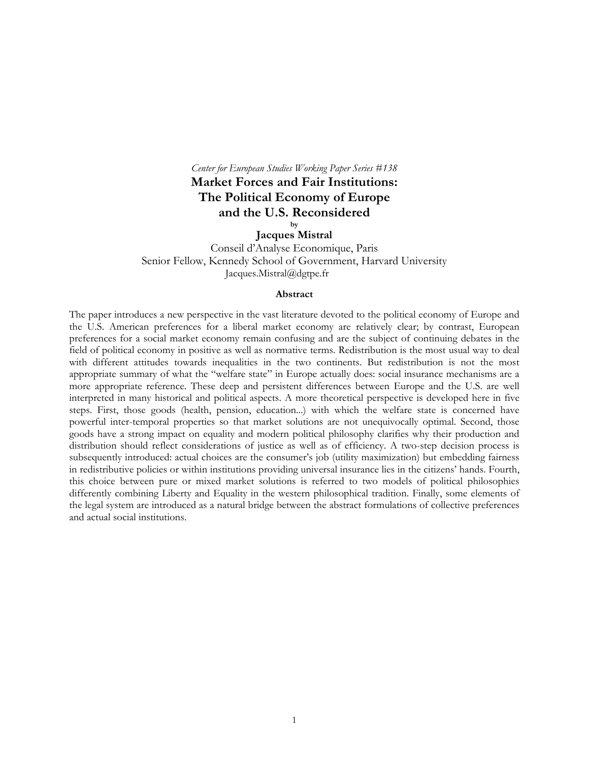# *Center for European Studies Working Paper Series #138*

**Market Forces and Fair Institutions: The Political Economy of Europe and the U.S. Reconsidered** 

> **by Jacques Mistral**

Conseil d'Analyse Economique, Paris Senior Fellow, Kennedy School of Government, Harvard University Jacques.Mistral@dgtpe.fr

#### **Abstract**

The paper introduces a new perspective in the vast literature devoted to the political economy of Europe and the U.S. American preferences for a liberal market economy are relatively clear; by contrast, European preferences for a social market economy remain confusing and are the subject of continuing debates in the field of political economy in positive as well as normative terms. Redistribution is the most usual way to deal with different attitudes towards inequalities in the two continents. But redistribution is not the most appropriate summary of what the "welfare state" in Europe actually does: social insurance mechanisms are a more appropriate reference. These deep and persistent differences between Europe and the U.S. are well interpreted in many historical and political aspects. A more theoretical perspective is developed here in five steps. First, those goods (health, pension, education...) with which the welfare state is concerned have powerful inter-temporal properties so that market solutions are not unequivocally optimal. Second, those goods have a strong impact on equality and modern political philosophy clarifies why their production and distribution should reflect considerations of justice as well as of efficiency. A two-step decision process is subsequently introduced: actual choices are the consumer's job (utility maximization) but embedding fairness in redistributive policies or within institutions providing universal insurance lies in the citizens' hands. Fourth, this choice between pure or mixed market solutions is referred to two models of political philosophies differently combining Liberty and Equality in the western philosophical tradition. Finally, some elements of the legal system are introduced as a natural bridge between the abstract formulations of collective preferences and actual social institutions.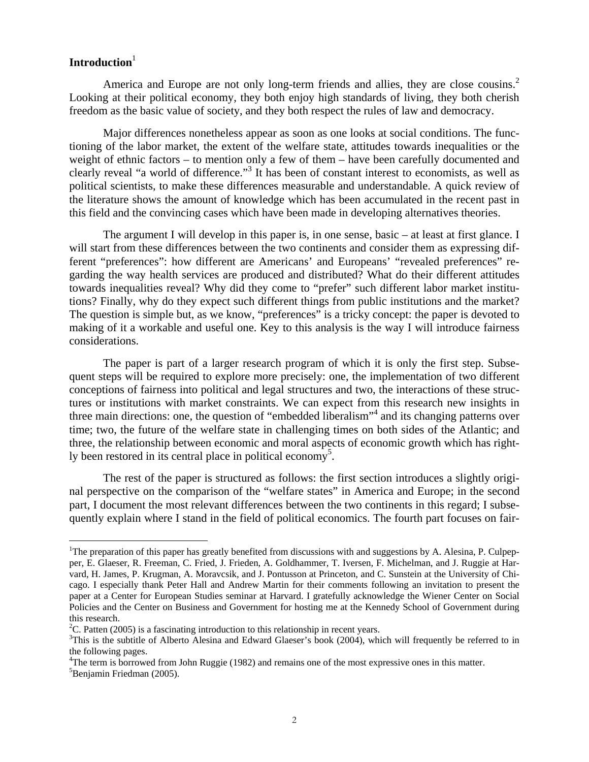# Introduction<sup>1</sup>

1

America and Europe are not only long-term friends and allies, they are close cousins.<sup>2</sup> Looking at their political economy, they both enjoy high standards of living, they both cherish freedom as the basic value of society, and they both respect the rules of law and democracy.

Major differences nonetheless appear as soon as one looks at social conditions. The functioning of the labor market, the extent of the welfare state, attitudes towards inequalities or the weight of ethnic factors – to mention only a few of them – have been carefully documented and clearly reveal "a world of difference."<sup>3</sup> It has been of constant interest to economists, as well as political scientists, to make these differences measurable and understandable. A quick review of the literature shows the amount of knowledge which has been accumulated in the recent past in this field and the convincing cases which have been made in developing alternatives theories.

The argument I will develop in this paper is, in one sense, basic – at least at first glance. I will start from these differences between the two continents and consider them as expressing different "preferences": how different are Americans' and Europeans' "revealed preferences" regarding the way health services are produced and distributed? What do their different attitudes towards inequalities reveal? Why did they come to "prefer" such different labor market institutions? Finally, why do they expect such different things from public institutions and the market? The question is simple but, as we know, "preferences" is a tricky concept: the paper is devoted to making of it a workable and useful one. Key to this analysis is the way I will introduce fairness considerations.

The paper is part of a larger research program of which it is only the first step. Subsequent steps will be required to explore more precisely: one, the implementation of two different conceptions of fairness into political and legal structures and two, the interactions of these structures or institutions with market constraints. We can expect from this research new insights in three main directions: one, the question of "embedded liberalism"<sup>4</sup> and its changing patterns over time; two, the future of the welfare state in challenging times on both sides of the Atlantic; and three, the relationship between economic and moral aspects of economic growth which has rightly been restored in its central place in political economy<sup>5</sup>.

The rest of the paper is structured as follows: the first section introduces a slightly original perspective on the comparison of the "welfare states" in America and Europe; in the second part, I document the most relevant differences between the two continents in this regard; I subsequently explain where I stand in the field of political economics. The fourth part focuses on fair-

<sup>&</sup>lt;sup>1</sup>The preparation of this paper has greatly benefited from discussions with and suggestions by A. Alesina, P. Culpepper, E. Glaeser, R. Freeman, C. Fried, J. Frieden, A. Goldhammer, T. Iversen, F. Michelman, and J. Ruggie at Harvard, H. James, P. Krugman, A. Moravcsik, and J. Pontusson at Princeton, and C. Sunstein at the University of Chicago. I especially thank Peter Hall and Andrew Martin for their comments following an invitation to present the paper at a Center for European Studies seminar at Harvard. I gratefully acknowledge the Wiener Center on Social Policies and the Center on Business and Government for hosting me at the Kennedy School of Government during this research.

<sup>&</sup>lt;sup>2</sup>C. Patten (2005) is a fascinating introduction to this relationship in recent years.<br><sup>3</sup>This is the subtitle of Alberta Alexing and Edward Glasser's book (2004), whi

 ${}^{3}$ This is the subtitle of Alberto Alesina and Edward Glaeser's book (2004), which will frequently be referred to in the following pages.

<sup>&</sup>lt;sup>4</sup>The term is borrowed from John Ruggie (1982) and remains one of the most expressive ones in this matter.<br><sup>5</sup>Penismin Friedman (2005)  ${}^{5}$ Benjamin Friedman (2005).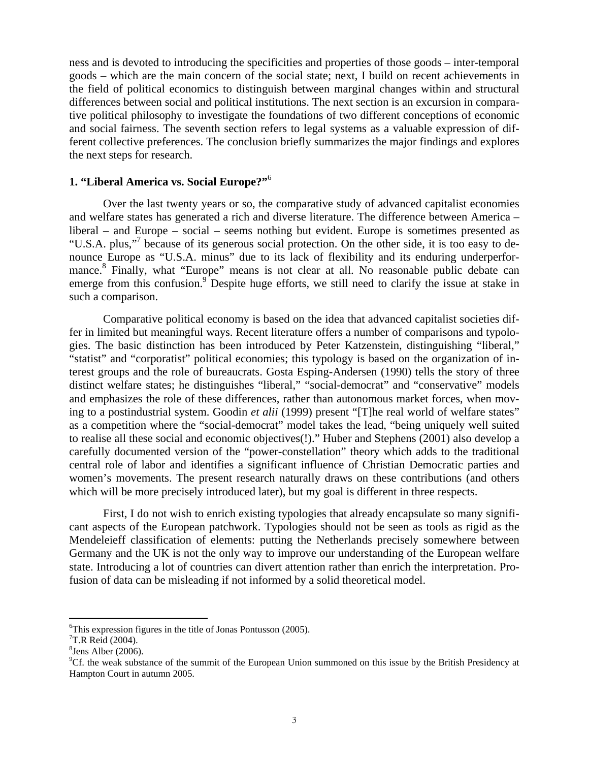ness and is devoted to introducing the specificities and properties of those goods – inter-temporal goods – which are the main concern of the social state; next, I build on recent achievements in the field of political economics to distinguish between marginal changes within and structural differences between social and political institutions. The next section is an excursion in comparative political philosophy to investigate the foundations of two different conceptions of economic and social fairness. The seventh section refers to legal systems as a valuable expression of different collective preferences. The conclusion briefly summarizes the major findings and explores the next steps for research.

## **1. "Liberal America vs. Social Europe?"**<sup>6</sup>

Over the last twenty years or so, the comparative study of advanced capitalist economies and welfare states has generated a rich and diverse literature. The difference between America – liberal – and Europe – social – seems nothing but evident. Europe is sometimes presented as "U.S.A. plus,"<sup>7</sup> because of its generous social protection. On the other side, it is too easy to denounce Europe as "U.S.A. minus" due to its lack of flexibility and its enduring underperformance.<sup>8</sup> Finally, what "Europe" means is not clear at all. No reasonable public debate can emerge from this confusion.<sup>9</sup> Despite huge efforts, we still need to clarify the issue at stake in such a comparison.

Comparative political economy is based on the idea that advanced capitalist societies differ in limited but meaningful ways. Recent literature offers a number of comparisons and typologies. The basic distinction has been introduced by Peter Katzenstein, distinguishing "liberal," "statist" and "corporatist" political economies; this typology is based on the organization of interest groups and the role of bureaucrats. Gosta Esping-Andersen (1990) tells the story of three distinct welfare states; he distinguishes "liberal," "social-democrat" and "conservative" models and emphasizes the role of these differences, rather than autonomous market forces, when moving to a postindustrial system. Goodin *et alii* (1999) present "[T]he real world of welfare states" as a competition where the "social-democrat" model takes the lead, "being uniquely well suited to realise all these social and economic objectives(!)." Huber and Stephens (2001) also develop a carefully documented version of the "power-constellation" theory which adds to the traditional central role of labor and identifies a significant influence of Christian Democratic parties and women's movements. The present research naturally draws on these contributions (and others which will be more precisely introduced later), but my goal is different in three respects.

First, I do not wish to enrich existing typologies that already encapsulate so many significant aspects of the European patchwork. Typologies should not be seen as tools as rigid as the Mendeleieff classification of elements: putting the Netherlands precisely somewhere between Germany and the UK is not the only way to improve our understanding of the European welfare state. Introducing a lot of countries can divert attention rather than enrich the interpretation. Profusion of data can be misleading if not informed by a solid theoretical model.

 $\overline{a}$ 6 This expression figures in the title of Jonas Pontusson (2005).

 $7$ T.R Reid (2004).

<sup>8</sup> Jens Alber (2006).

<sup>&</sup>lt;sup>9</sup>Cf. the weak substance of the summit of the European Union summoned on this issue by the British Presidency at Hampton Court in autumn 2005.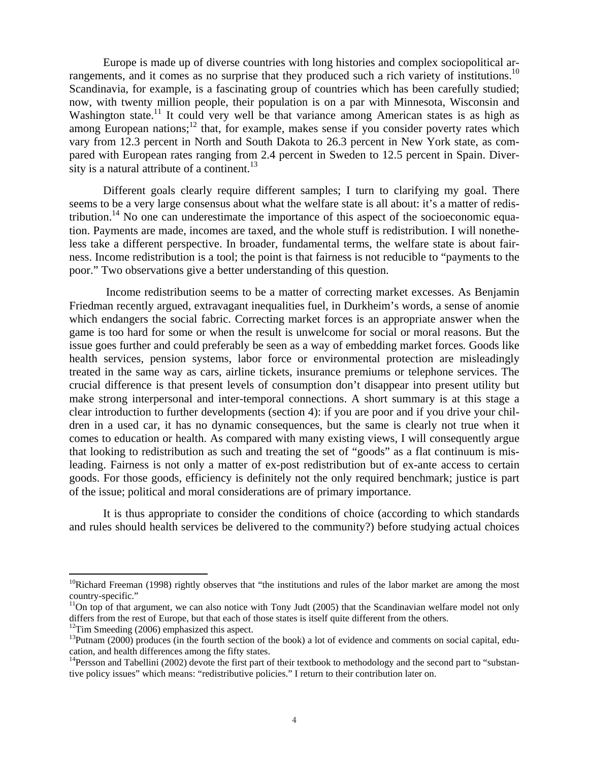Europe is made up of diverse countries with long histories and complex sociopolitical arrangements, and it comes as no surprise that they produced such a rich variety of institutions.<sup>10</sup> Scandinavia, for example, is a fascinating group of countries which has been carefully studied; now, with twenty million people, their population is on a par with Minnesota, Wisconsin and Washington state.<sup>11</sup> It could very well be that variance among American states is as high as among European nations;<sup>12</sup> that, for example, makes sense if you consider poverty rates which vary from 12.3 percent in North and South Dakota to 26.3 percent in New York state, as compared with European rates ranging from 2.4 percent in Sweden to 12.5 percent in Spain. Diversity is a natural attribute of a continent. $13$ 

Different goals clearly require different samples; I turn to clarifying my goal. There seems to be a very large consensus about what the welfare state is all about: it's a matter of redistribution.<sup>14</sup> No one can underestimate the importance of this aspect of the socioeconomic equation. Payments are made, incomes are taxed, and the whole stuff is redistribution. I will nonetheless take a different perspective. In broader, fundamental terms, the welfare state is about fairness. Income redistribution is a tool; the point is that fairness is not reducible to "payments to the poor." Two observations give a better understanding of this question.

 Income redistribution seems to be a matter of correcting market excesses. As Benjamin Friedman recently argued, extravagant inequalities fuel, in Durkheim's words, a sense of anomie which endangers the social fabric. Correcting market forces is an appropriate answer when the game is too hard for some or when the result is unwelcome for social or moral reasons. But the issue goes further and could preferably be seen as a way of embedding market forces*.* Goods like health services, pension systems, labor force or environmental protection are misleadingly treated in the same way as cars, airline tickets, insurance premiums or telephone services. The crucial difference is that present levels of consumption don't disappear into present utility but make strong interpersonal and inter-temporal connections. A short summary is at this stage a clear introduction to further developments (section 4): if you are poor and if you drive your children in a used car, it has no dynamic consequences, but the same is clearly not true when it comes to education or health. As compared with many existing views, I will consequently argue that looking to redistribution as such and treating the set of "goods" as a flat continuum is misleading. Fairness is not only a matter of ex-post redistribution but of ex-ante access to certain goods. For those goods, efficiency is definitely not the only required benchmark; justice is part of the issue; political and moral considerations are of primary importance.

It is thus appropriate to consider the conditions of choice (according to which standards and rules should health services be delivered to the community?) before studying actual choices

 $10R$ ichard Freeman (1998) rightly observes that "the institutions and rules of the labor market are among the most country-specific."

 $11$ On top of that argument, we can also notice with Tony Judt (2005) that the Scandinavian welfare model not only differs from the rest of Europe, but that each of those states is itself quite different from the others. <sup>12</sup>Tim Smeeding (2006) emphasized this aspect.

 $13$ Putnam (2000) produces (in the fourth section of the book) a lot of evidence and comments on social capital, education, and health differences among the fifty states.

 $14$ Persson and Tabellini (2002) devote the first part of their textbook to methodology and the second part to "substantive policy issues" which means: "redistributive policies." I return to their contribution later on.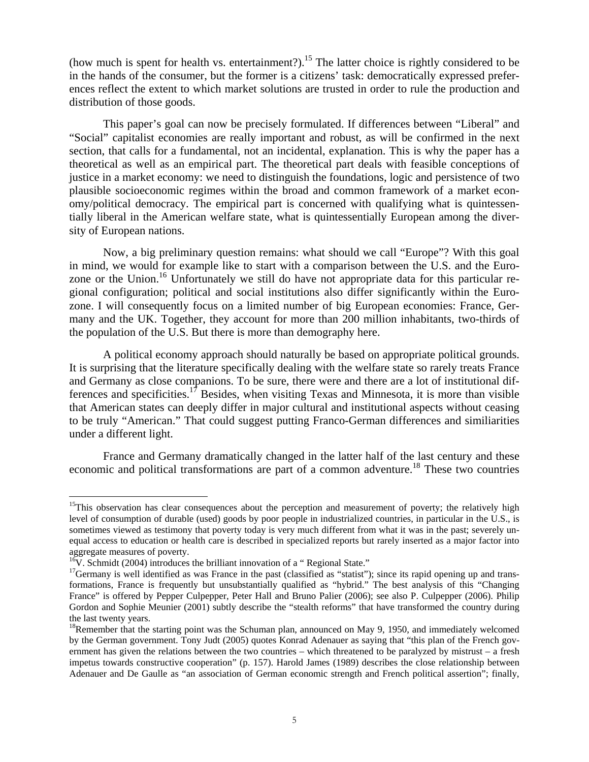(how much is spent for health vs. entertainment?).<sup>15</sup> The latter choice is rightly considered to be in the hands of the consumer, but the former is a citizens' task: democratically expressed preferences reflect the extent to which market solutions are trusted in order to rule the production and distribution of those goods.

This paper's goal can now be precisely formulated. If differences between "Liberal" and "Social" capitalist economies are really important and robust, as will be confirmed in the next section, that calls for a fundamental, not an incidental, explanation. This is why the paper has a theoretical as well as an empirical part. The theoretical part deals with feasible conceptions of justice in a market economy: we need to distinguish the foundations, logic and persistence of two plausible socioeconomic regimes within the broad and common framework of a market economy/political democracy. The empirical part is concerned with qualifying what is quintessentially liberal in the American welfare state, what is quintessentially European among the diversity of European nations.

Now, a big preliminary question remains: what should we call "Europe"? With this goal in mind, we would for example like to start with a comparison between the U.S. and the Eurozone or the Union.<sup>16</sup> Unfortunately we still do have not appropriate data for this particular regional configuration; political and social institutions also differ significantly within the Eurozone. I will consequently focus on a limited number of big European economies: France, Germany and the UK. Together, they account for more than 200 million inhabitants, two-thirds of the population of the U.S. But there is more than demography here.

A political economy approach should naturally be based on appropriate political grounds. It is surprising that the literature specifically dealing with the welfare state so rarely treats France and Germany as close companions. To be sure, there were and there are a lot of institutional differences and specificities.<sup>17</sup> Besides, when visiting Texas and Minnesota, it is more than visible that American states can deeply differ in major cultural and institutional aspects without ceasing to be truly "American." That could suggest putting Franco-German differences and similiarities under a different light.

France and Germany dramatically changed in the latter half of the last century and these economic and political transformations are part of a common adventure.<sup>18</sup> These two countries

<sup>&</sup>lt;sup>15</sup>This observation has clear consequences about the perception and measurement of poverty; the relatively high level of consumption of durable (used) goods by poor people in industrialized countries, in particular in the U.S., is sometimes viewed as testimony that poverty today is very much different from what it was in the past; severely unequal access to education or health care is described in specialized reports but rarely inserted as a major factor into aggregate measures of poverty.

<sup>&</sup>lt;sup>16</sup>V. Schmidt (2004) introduces the brilliant innovation of a " Regional State."  $^{17}$ Germany is well identified as was France in the past (classified as "statist"); since its rapid opening up and transformations, France is frequently but unsubstantially qualified as "hybrid." The best analysis of this "Changing France" is offered by Pepper Culpepper, Peter Hall and Bruno Palier (2006); see also P. Culpepper (2006). Philip Gordon and Sophie Meunier (2001) subtly describe the "stealth reforms" that have transformed the country during the last twenty years.

<sup>&</sup>lt;sup>18</sup>Remember that the starting point was the Schuman plan, announced on May 9, 1950, and immediately welcomed by the German government. Tony Judt (2005) quotes Konrad Adenauer as saying that "this plan of the French government has given the relations between the two countries – which threatened to be paralyzed by mistrust – a fresh impetus towards constructive cooperation" (p. 157). Harold James (1989) describes the close relationship between Adenauer and De Gaulle as "an association of German economic strength and French political assertion"; finally,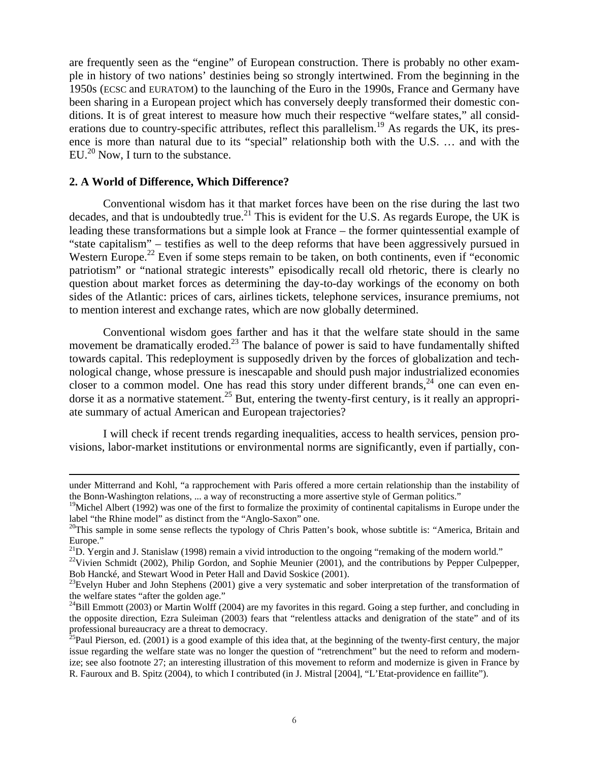are frequently seen as the "engine" of European construction. There is probably no other example in history of two nations' destinies being so strongly intertwined. From the beginning in the 1950s (ECSC and EURATOM) to the launching of the Euro in the 1990s, France and Germany have been sharing in a European project which has conversely deeply transformed their domestic conditions. It is of great interest to measure how much their respective "welfare states," all considerations due to country-specific attributes, reflect this parallelism.<sup>19</sup> As regards the UK, its presence is more than natural due to its "special" relationship both with the U.S. … and with the  $EU^{20}$  Now. I turn to the substance.

## **2. A World of Difference, Which Difference?**

Conventional wisdom has it that market forces have been on the rise during the last two decades, and that is undoubtedly true.<sup>21</sup> This is evident for the U.S. As regards Europe, the UK is leading these transformations but a simple look at France – the former quintessential example of "state capitalism" – testifies as well to the deep reforms that have been aggressively pursued in Western Europe.<sup>22</sup> Even if some steps remain to be taken, on both continents, even if "economic" patriotism" or "national strategic interests" episodically recall old rhetoric, there is clearly no question about market forces as determining the day-to-day workings of the economy on both sides of the Atlantic: prices of cars, airlines tickets, telephone services, insurance premiums, not to mention interest and exchange rates, which are now globally determined.

Conventional wisdom goes farther and has it that the welfare state should in the same movement be dramatically eroded.<sup>23</sup> The balance of power is said to have fundamentally shifted towards capital. This redeployment is supposedly driven by the forces of globalization and technological change, whose pressure is inescapable and should push major industrialized economies closer to a common model. One has read this story under different brands,  $24$  one can even endorse it as a normative statement.<sup>25</sup> But, entering the twenty-first century, is it really an appropriate summary of actual American and European trajectories?

I will check if recent trends regarding inequalities, access to health services, pension provisions, labor-market institutions or environmental norms are significantly, even if partially, con-

under Mitterrand and Kohl, "a rapprochement with Paris offered a more certain relationship than the instability of the Bonn-Washington relations, ... a way of reconstructing a more assertive style of German politics."

 $19$ Michel Albert (1992) was one of the first to formalize the proximity of continental capitalisms in Europe under the label "the Rhine model" as distinct from the "Anglo-Saxon" one.

<sup>&</sup>lt;sup>20</sup>This sample in some sense reflects the typology of Chris Patten's book, whose subtitle is: "America, Britain and Europe."

<sup>&</sup>lt;sup>21</sup>D. Yergin and J. Stanislaw (1998) remain a vivid introduction to the ongoing "remaking of the modern world."

<sup>&</sup>lt;sup>22</sup>Vivien Schmidt (2002), Philip Gordon, and Sophie Meunier (2001), and the contributions by Pepper Culpepper, Bob Hancké, and Stewart Wood in Peter Hall and David Soskice (2001).

<sup>&</sup>lt;sup>23</sup>Evelyn Huber and John Stephens (2001) give a very systematic and sober interpretation of the transformation of the welfare states "after the golden age."

 $^{24}$ Bill Emmott (2003) or Martin Wolff (2004) are my favorites in this regard. Going a step further, and concluding in the opposite direction, Ezra Suleiman (2003) fears that "relentless attacks and denigration of the state" and of its

professional bureaucracy are a threat to democracy.<br><sup>25</sup>Paul Pierson, ed. (2001) is a good example of this idea that, at the beginning of the twenty-first century, the major issue regarding the welfare state was no longer the question of "retrenchment" but the need to reform and modernize; see also footnote 27; an interesting illustration of this movement to reform and modernize is given in France by R. Fauroux and B. Spitz (2004), to which I contributed (in J. Mistral [2004], "L'Etat-providence en faillite").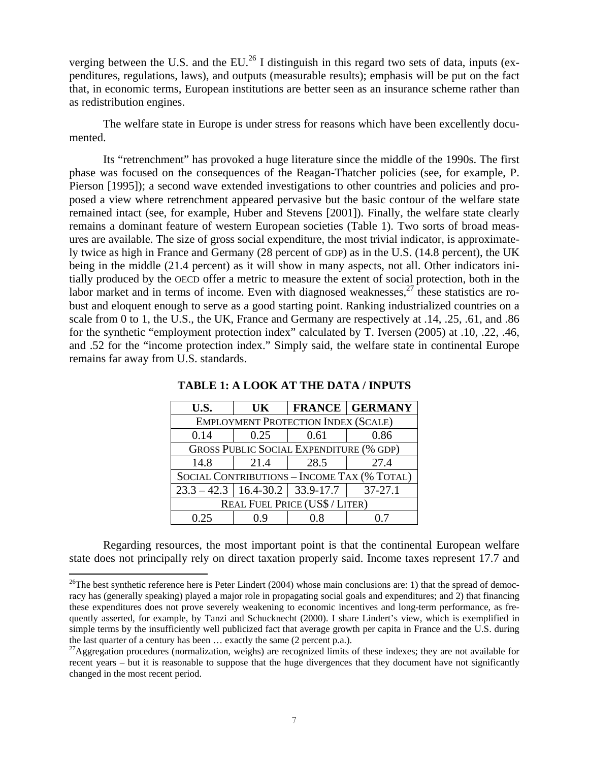verging between the U.S. and the EU.<sup>26</sup> I distinguish in this regard two sets of data, inputs (expenditures, regulations, laws), and outputs (measurable results); emphasis will be put on the fact that, in economic terms, European institutions are better seen as an insurance scheme rather than as redistribution engines.

The welfare state in Europe is under stress for reasons which have been excellently documented.

Its "retrenchment" has provoked a huge literature since the middle of the 1990s. The first phase was focused on the consequences of the Reagan-Thatcher policies (see, for example, P. Pierson [1995]); a second wave extended investigations to other countries and policies and proposed a view where retrenchment appeared pervasive but the basic contour of the welfare state remained intact (see, for example, Huber and Stevens [2001]). Finally, the welfare state clearly remains a dominant feature of western European societies (Table 1). Two sorts of broad measures are available. The size of gross social expenditure, the most trivial indicator, is approximately twice as high in France and Germany (28 percent of GDP) as in the U.S. (14.8 percent), the UK being in the middle (21.4 percent) as it will show in many aspects, not all. Other indicators initially produced by the OECD offer a metric to measure the extent of social protection, both in the labor market and in terms of income. Even with diagnosed weaknesses,  $27$  these statistics are robust and eloquent enough to serve as a good starting point. Ranking industrialized countries on a scale from 0 to 1, the U.S., the UK, France and Germany are respectively at .14, .25, .61, and .86 for the synthetic "employment protection index" calculated by T. Iversen (2005) at .10, .22, .46, and .52 for the "income protection index." Simply said, the welfare state in continental Europe remains far away from U.S. standards.

| U.S.                                            | UK   |      | <b>FRANCE GERMANY</b> |  |  |
|-------------------------------------------------|------|------|-----------------------|--|--|
| <b>EMPLOYMENT PROTECTION INDEX (SCALE)</b>      |      |      |                       |  |  |
| 0.14                                            | 0.25 | 0.61 | 0.86                  |  |  |
| <b>GROSS PUBLIC SOCIAL EXPENDITURE (% GDP)</b>  |      |      |                       |  |  |
| 14.8                                            | 21.4 | 28.5 | 27.4                  |  |  |
| SOCIAL CONTRIBUTIONS - INCOME TAX (% TOTAL)     |      |      |                       |  |  |
| $23.3 - 42.3$   16.4-30.2   33.9-17.7   37-27.1 |      |      |                       |  |  |
| <b>REAL FUEL PRICE (US\$ / LITER)</b>           |      |      |                       |  |  |
| 0.25                                            |      |      |                       |  |  |

**TABLE 1: A LOOK AT THE DATA / INPUTS** 

Regarding resources, the most important point is that the continental European welfare state does not principally rely on direct taxation properly said. Income taxes represent 17.7 and

<sup>&</sup>lt;sup>26</sup>The best synthetic reference here is Peter Lindert (2004) whose main conclusions are: 1) that the spread of democracy has (generally speaking) played a major role in propagating social goals and expenditures; and 2) that financing these expenditures does not prove severely weakening to economic incentives and long-term performance, as frequently asserted, for example, by Tanzi and Schucknecht (2000). I share Lindert's view, which is exemplified in simple terms by the insufficiently well publicized fact that average growth per capita in France and the U.S. during the last quarter of a century has been … exactly the same (2 percent p.a.).

 $^{27}$ Aggregation procedures (normalization, weighs) are recognized limits of these indexes; they are not available for recent years – but it is reasonable to suppose that the huge divergences that they document have not significantly changed in the most recent period.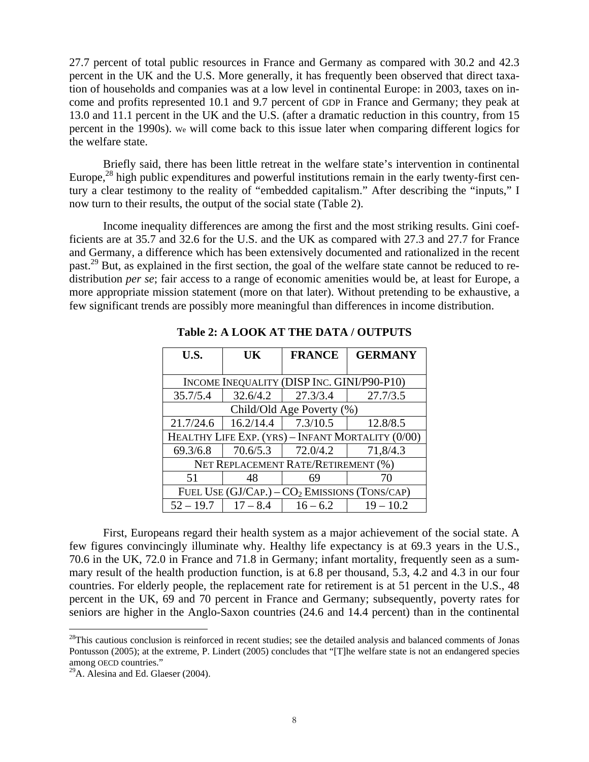27.7 percent of total public resources in France and Germany as compared with 30.2 and 42.3 percent in the UK and the U.S. More generally, it has frequently been observed that direct taxation of households and companies was at a low level in continental Europe: in 2003, taxes on income and profits represented 10.1 and 9.7 percent of GDP in France and Germany; they peak at 13.0 and 11.1 percent in the UK and the U.S. (after a dramatic reduction in this country, from 15 percent in the 1990s). We will come back to this issue later when comparing different logics for the welfare state.

Briefly said, there has been little retreat in the welfare state's intervention in continental Europe, $^{28}$  high public expenditures and powerful institutions remain in the early twenty-first century a clear testimony to the reality of "embedded capitalism." After describing the "inputs," I now turn to their results, the output of the social state (Table 2).

Income inequality differences are among the first and the most striking results. Gini coefficients are at 35.7 and 32.6 for the U.S. and the UK as compared with 27.3 and 27.7 for France and Germany, a difference which has been extensively documented and rationalized in the recent past.<sup>29</sup> But, as explained in the first section, the goal of the welfare state cannot be reduced to redistribution *per se*; fair access to a range of economic amenities would be, at least for Europe, a more appropriate mission statement (more on that later). Without pretending to be exhaustive, a few significant trends are possibly more meaningful than differences in income distribution.

| U.S.                                              | <b>UK</b>  | <b>FRANCE</b>     | <b>GERMANY</b> |  |  |  |
|---------------------------------------------------|------------|-------------------|----------------|--|--|--|
|                                                   |            |                   |                |  |  |  |
| INCOME INEQUALITY (DISP INC. GINI/P90-P10)        |            |                   |                |  |  |  |
| 35.7/5.4                                          | 32.6/4.2   | 27.3/3.4          | 27.7/3.5       |  |  |  |
| Child/Old Age Poverty (%)                         |            |                   |                |  |  |  |
| 21.7/24.6                                         | 16.2/14.4  | 7.3/10.5          | 12.8/8.5       |  |  |  |
| HEALTHY LIFE EXP. (YRS) - INFANT MORTALITY (0/00) |            |                   |                |  |  |  |
| 69.3/6.8                                          |            | 70.6/5.3 72.0/4.2 | 71,8/4.3       |  |  |  |
| NET REPLACEMENT RATE/RETIREMENT (%)               |            |                   |                |  |  |  |
| 51                                                | 48         |                   | 70             |  |  |  |
| FUEL USE $(GJ/CAP.) - CO2$ EMISSIONS (TONS/CAP)   |            |                   |                |  |  |  |
| $52 - 19.7$                                       | $17 - 8.4$ | $16 - 6.2$        | $19 - 10.2$    |  |  |  |

**Table 2: A LOOK AT THE DATA / OUTPUTS** 

First, Europeans regard their health system as a major achievement of the social state. A few figures convincingly illuminate why. Healthy life expectancy is at 69.3 years in the U.S., 70.6 in the UK, 72.0 in France and 71.8 in Germany; infant mortality, frequently seen as a summary result of the health production function, is at 6.8 per thousand, 5.3, 4.2 and 4.3 in our four countries. For elderly people, the replacement rate for retirement is at 51 percent in the U.S., 48 percent in the UK, 69 and 70 percent in France and Germany; subsequently, poverty rates for seniors are higher in the Anglo-Saxon countries (24.6 and 14.4 percent) than in the continental

<u>.</u>

 $28$ This cautious conclusion is reinforced in recent studies; see the detailed analysis and balanced comments of Jonas Pontusson (2005); at the extreme, P. Lindert (2005) concludes that "[T]he welfare state is not an endangered species among OECD countries."

 $^{29}$ A. Alesina and Ed. Glaeser (2004).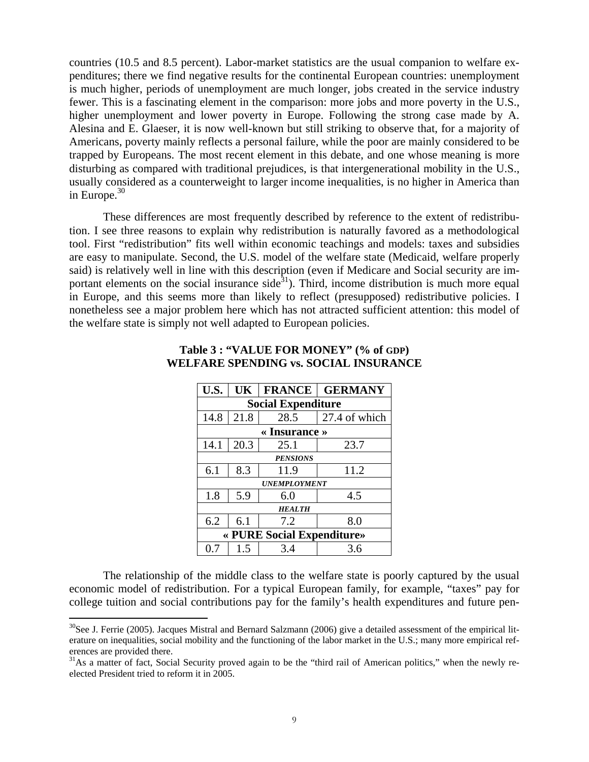countries (10.5 and 8.5 percent). Labor-market statistics are the usual companion to welfare expenditures; there we find negative results for the continental European countries: unemployment is much higher, periods of unemployment are much longer, jobs created in the service industry fewer. This is a fascinating element in the comparison: more jobs and more poverty in the U.S., higher unemployment and lower poverty in Europe. Following the strong case made by A. Alesina and E. Glaeser, it is now well-known but still striking to observe that, for a majority of Americans, poverty mainly reflects a personal failure, while the poor are mainly considered to be trapped by Europeans. The most recent element in this debate, and one whose meaning is more disturbing as compared with traditional prejudices, is that intergenerational mobility in the U.S., usually considered as a counterweight to larger income inequalities, is no higher in America than in Europe. $30$ 

These differences are most frequently described by reference to the extent of redistribution. I see three reasons to explain why redistribution is naturally favored as a methodological tool. First "redistribution" fits well within economic teachings and models: taxes and subsidies are easy to manipulate. Second, the U.S. model of the welfare state (Medicaid, welfare properly said) is relatively well in line with this description (even if Medicare and Social security are important elements on the social insurance side<sup>31</sup>). Third, income distribution is much more equal in Europe, and this seems more than likely to reflect (presupposed) redistributive policies. I nonetheless see a major problem here which has not attracted sufficient attention: this model of the welfare state is simply not well adapted to European policies.

| U.S.                        | UK   | <b>FRANCE</b> | <b>GERMANY</b> |  |  |
|-----------------------------|------|---------------|----------------|--|--|
| <b>Social Expenditure</b>   |      |               |                |  |  |
| 14.8                        | 21.8 | 28.5          | 27.4 of which  |  |  |
| $\triangleleft$ Insurance » |      |               |                |  |  |
| 14.1                        | 20.3 | 25.1          | 23.7           |  |  |
| <b>PENSIONS</b>             |      |               |                |  |  |
| 6.1                         | 8.3  | 11.9          | 11.2           |  |  |
| <b>UNEMPLOYMENT</b>         |      |               |                |  |  |
| 1.8                         | 5.9  | 6.0           | 4.5            |  |  |
| <b>HEALTH</b>               |      |               |                |  |  |
| 6.2                         | 6.1  | 7.2           | 8.0            |  |  |
| « PURE Social Expenditure»  |      |               |                |  |  |
| 0.7                         | 1.5  | 3.4           | 3.6            |  |  |

## **Table 3 : "VALUE FOR MONEY" (% of GDP) WELFARE SPENDING vs. SOCIAL INSURANCE**

The relationship of the middle class to the welfare state is poorly captured by the usual economic model of redistribution. For a typical European family, for example, "taxes" pay for college tuition and social contributions pay for the family's health expenditures and future pen-

 $30$ See J. Ferrie (2005). Jacques Mistral and Bernard Salzmann (2006) give a detailed assessment of the empirical literature on inequalities, social mobility and the functioning of the labor market in the U.S.; many more empirical references are provided there.

<sup>&</sup>lt;sup>31</sup>As a matter of fact, Social Security proved again to be the "third rail of American politics," when the newly reelected President tried to reform it in 2005.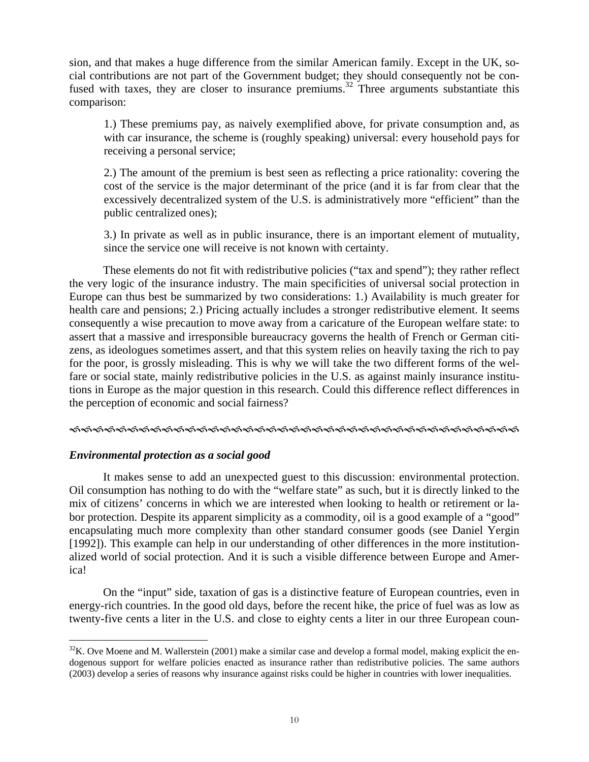sion, and that makes a huge difference from the similar American family. Except in the UK, social contributions are not part of the Government budget; they should consequently not be confused with taxes, they are closer to insurance premiums.<sup>32</sup> Three arguments substantiate this comparison:

1.) These premiums pay, as naively exemplified above, for private consumption and, as with car insurance, the scheme is (roughly speaking) universal: every household pays for receiving a personal service;

2.) The amount of the premium is best seen as reflecting a price rationality: covering the cost of the service is the major determinant of the price (and it is far from clear that the excessively decentralized system of the U.S. is administratively more "efficient" than the public centralized ones);

3.) In private as well as in public insurance, there is an important element of mutuality, since the service one will receive is not known with certainty.

These elements do not fit with redistributive policies ("tax and spend"); they rather reflect the very logic of the insurance industry. The main specificities of universal social protection in Europe can thus best be summarized by two considerations: 1.) Availability is much greater for health care and pensions; 2.) Pricing actually includes a stronger redistributive element. It seems consequently a wise precaution to move away from a caricature of the European welfare state: to assert that a massive and irresponsible bureaucracy governs the health of French or German citizens, as ideologues sometimes assert, and that this system relies on heavily taxing the rich to pay for the poor, is grossly misleading. This is why we will take the two different forms of the welfare or social state, mainly redistributive policies in the U.S. as against mainly insurance institutions in Europe as the major question in this research. Could this difference reflect differences in the perception of economic and social fairness?

#### IIIIIIIIIIIIIIIIIIIIIIIIIIIIIIIIIIIIIII

## *Environmental protection as a social good*

It makes sense to add an unexpected guest to this discussion: environmental protection. Oil consumption has nothing to do with the "welfare state" as such, but it is directly linked to the mix of citizens' concerns in which we are interested when looking to health or retirement or labor protection. Despite its apparent simplicity as a commodity, oil is a good example of a "good" encapsulating much more complexity than other standard consumer goods (see Daniel Yergin [1992]). This example can help in our understanding of other differences in the more institutionalized world of social protection. And it is such a visible difference between Europe and America!

On the "input" side, taxation of gas is a distinctive feature of European countries, even in energy-rich countries. In the good old days, before the recent hike, the price of fuel was as low as twenty-five cents a liter in the U.S. and close to eighty cents a liter in our three European coun-

<sup>1</sup>  $32$ K. Ove Moene and M. Wallerstein (2001) make a similar case and develop a formal model, making explicit the endogenous support for welfare policies enacted as insurance rather than redistributive policies. The same authors (2003) develop a series of reasons why insurance against risks could be higher in countries with lower inequalities.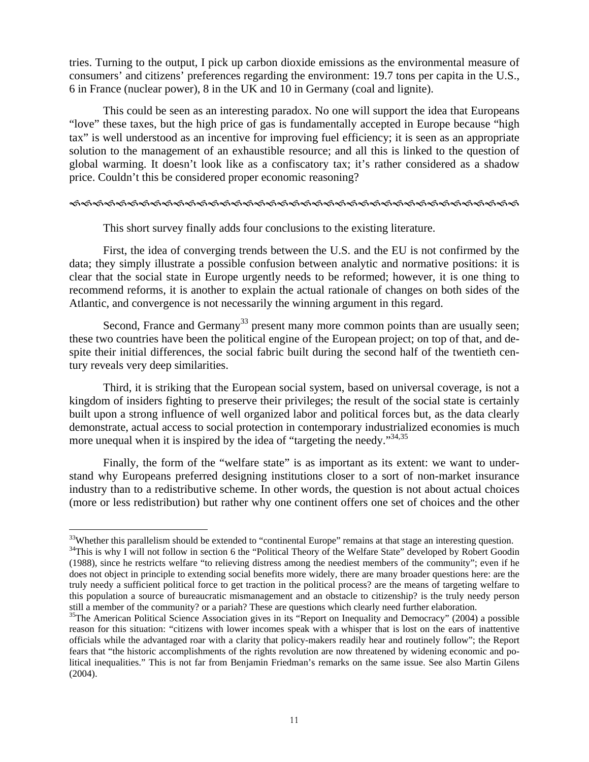tries. Turning to the output, I pick up carbon dioxide emissions as the environmental measure of consumers' and citizens' preferences regarding the environment: 19.7 tons per capita in the U.S., 6 in France (nuclear power), 8 in the UK and 10 in Germany (coal and lignite).

This could be seen as an interesting paradox. No one will support the idea that Europeans "love" these taxes, but the high price of gas is fundamentally accepted in Europe because "high tax" is well understood as an incentive for improving fuel efficiency; it is seen as an appropriate solution to the management of an exhaustible resource; and all this is linked to the question of global warming. It doesn't look like as a confiscatory tax; it's rather considered as a shadow price. Couldn't this be considered proper economic reasoning?

#### IIIIIIIIIIIIIIIIIIIIIIIIIIIIIIIIIIIIIII

This short survey finally adds four conclusions to the existing literature.

First, the idea of converging trends between the U.S. and the EU is not confirmed by the data; they simply illustrate a possible confusion between analytic and normative positions: it is clear that the social state in Europe urgently needs to be reformed; however, it is one thing to recommend reforms, it is another to explain the actual rationale of changes on both sides of the Atlantic, and convergence is not necessarily the winning argument in this regard.

Second, France and Germany<sup>33</sup> present many more common points than are usually seen; these two countries have been the political engine of the European project; on top of that, and despite their initial differences, the social fabric built during the second half of the twentieth century reveals very deep similarities.

Third, it is striking that the European social system, based on universal coverage, is not a kingdom of insiders fighting to preserve their privileges; the result of the social state is certainly built upon a strong influence of well organized labor and political forces but, as the data clearly demonstrate, actual access to social protection in contemporary industrialized economies is much more unequal when it is inspired by the idea of "targeting the needy."34,35

Finally, the form of the "welfare state" is as important as its extent: we want to understand why Europeans preferred designing institutions closer to a sort of non-market insurance industry than to a redistributive scheme. In other words, the question is not about actual choices (more or less redistribution) but rather why one continent offers one set of choices and the other

<u>.</u>

<sup>&</sup>lt;sup>33</sup>Whether this parallelism should be extended to "continental Europe" remains at that stage an interesting question.

 $34$ This is why I will not follow in section 6 the "Political Theory of the Welfare State" developed by Robert Goodin (1988), since he restricts welfare "to relieving distress among the neediest members of the community"; even if he does not object in principle to extending social benefits more widely, there are many broader questions here: are the truly needy a sufficient political force to get traction in the political process? are the means of targeting welfare to this population a source of bureaucratic mismanagement and an obstacle to citizenship? is the truly needy person still a member of the community? or a pariah? These are questions which clearly need further elaboration.

<sup>&</sup>lt;sup>35</sup>The American Political Science Association gives in its "Report on Inequality and Democracy" (2004) a possible reason for this situation: "citizens with lower incomes speak with a whisper that is lost on the ears of inattentive officials while the advantaged roar with a clarity that policy-makers readily hear and routinely follow"; the Report fears that "the historic accomplishments of the rights revolution are now threatened by widening economic and political inequalities." This is not far from Benjamin Friedman's remarks on the same issue. See also Martin Gilens (2004).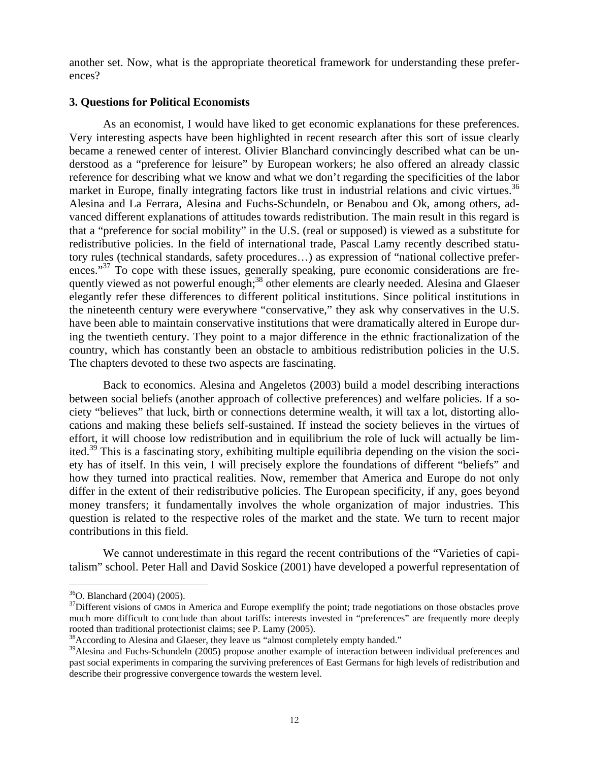another set. Now, what is the appropriate theoretical framework for understanding these preferences?

## **3. Questions for Political Economists**

As an economist, I would have liked to get economic explanations for these preferences. Very interesting aspects have been highlighted in recent research after this sort of issue clearly became a renewed center of interest. Olivier Blanchard convincingly described what can be understood as a "preference for leisure" by European workers; he also offered an already classic reference for describing what we know and what we don't regarding the specificities of the labor market in Europe, finally integrating factors like trust in industrial relations and civic virtues.<sup>36</sup> Alesina and La Ferrara, Alesina and Fuchs-Schundeln, or Benabou and Ok, among others, advanced different explanations of attitudes towards redistribution. The main result in this regard is that a "preference for social mobility" in the U.S. (real or supposed) is viewed as a substitute for redistributive policies. In the field of international trade, Pascal Lamy recently described statutory rules (technical standards, safety procedures…) as expression of "national collective preferences."<sup>37</sup> To cope with these issues, generally speaking, pure economic considerations are frequently viewed as not powerful enough;<sup>38</sup> other elements are clearly needed. Alesina and Glaeser elegantly refer these differences to different political institutions. Since political institutions in the nineteenth century were everywhere "conservative," they ask why conservatives in the U.S. have been able to maintain conservative institutions that were dramatically altered in Europe during the twentieth century. They point to a major difference in the ethnic fractionalization of the country, which has constantly been an obstacle to ambitious redistribution policies in the U.S. The chapters devoted to these two aspects are fascinating.

Back to economics. Alesina and Angeletos (2003) build a model describing interactions between social beliefs (another approach of collective preferences) and welfare policies. If a society "believes" that luck, birth or connections determine wealth, it will tax a lot, distorting allocations and making these beliefs self-sustained. If instead the society believes in the virtues of effort, it will choose low redistribution and in equilibrium the role of luck will actually be limited.<sup>39</sup> This is a fascinating story, exhibiting multiple equilibria depending on the vision the society has of itself. In this vein, I will precisely explore the foundations of different "beliefs" and how they turned into practical realities. Now, remember that America and Europe do not only differ in the extent of their redistributive policies. The European specificity, if any, goes beyond money transfers; it fundamentally involves the whole organization of major industries. This question is related to the respective roles of the market and the state. We turn to recent major contributions in this field.

We cannot underestimate in this regard the recent contributions of the "Varieties of capitalism" school. Peter Hall and David Soskice (2001) have developed a powerful representation of

<sup>36</sup>O. Blanchard (2004) (2005).

 $37$ Different visions of GMOs in America and Europe exemplify the point; trade negotiations on those obstacles prove much more difficult to conclude than about tariffs: interests invested in "preferences" are frequently more deeply rooted than traditional protectionist claims; see P. Lamy (2005).

<sup>&</sup>lt;sup>38</sup> According to Alesina and Glaeser, they leave us "almost completely empty handed."

<sup>&</sup>lt;sup>39</sup>Alesina and Fuchs-Schundeln (2005) propose another example of interaction between individual preferences and past social experiments in comparing the surviving preferences of East Germans for high levels of redistribution and describe their progressive convergence towards the western level.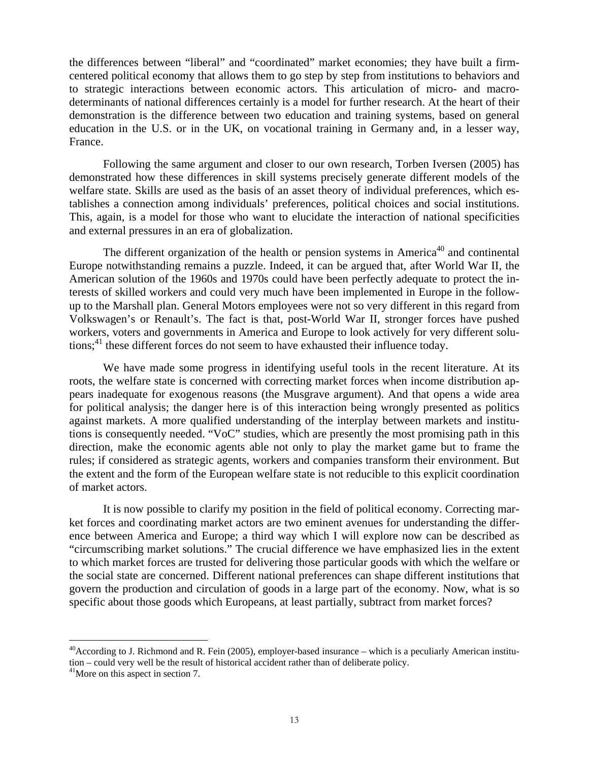the differences between "liberal" and "coordinated" market economies; they have built a firmcentered political economy that allows them to go step by step from institutions to behaviors and to strategic interactions between economic actors. This articulation of micro- and macrodeterminants of national differences certainly is a model for further research. At the heart of their demonstration is the difference between two education and training systems, based on general education in the U.S. or in the UK, on vocational training in Germany and, in a lesser way, France.

Following the same argument and closer to our own research, Torben Iversen (2005) has demonstrated how these differences in skill systems precisely generate different models of the welfare state. Skills are used as the basis of an asset theory of individual preferences, which establishes a connection among individuals' preferences, political choices and social institutions. This, again, is a model for those who want to elucidate the interaction of national specificities and external pressures in an era of globalization.

The different organization of the health or pension systems in America<sup>40</sup> and continental Europe notwithstanding remains a puzzle. Indeed, it can be argued that, after World War II, the American solution of the 1960s and 1970s could have been perfectly adequate to protect the interests of skilled workers and could very much have been implemented in Europe in the followup to the Marshall plan. General Motors employees were not so very different in this regard from Volkswagen's or Renault's. The fact is that, post-World War II, stronger forces have pushed workers, voters and governments in America and Europe to look actively for very different solutions;<sup>41</sup> these different forces do not seem to have exhausted their influence today.

We have made some progress in identifying useful tools in the recent literature. At its roots, the welfare state is concerned with correcting market forces when income distribution appears inadequate for exogenous reasons (the Musgrave argument). And that opens a wide area for political analysis; the danger here is of this interaction being wrongly presented as politics against markets. A more qualified understanding of the interplay between markets and institutions is consequently needed. "VoC" studies, which are presently the most promising path in this direction, make the economic agents able not only to play the market game but to frame the rules; if considered as strategic agents, workers and companies transform their environment. But the extent and the form of the European welfare state is not reducible to this explicit coordination of market actors.

It is now possible to clarify my position in the field of political economy. Correcting market forces and coordinating market actors are two eminent avenues for understanding the difference between America and Europe; a third way which I will explore now can be described as "circumscribing market solutions." The crucial difference we have emphasized lies in the extent to which market forces are trusted for delivering those particular goods with which the welfare or the social state are concerned. Different national preferences can shape different institutions that govern the production and circulation of goods in a large part of the economy. Now, what is so specific about those goods which Europeans, at least partially, subtract from market forces?

 $^{40}$ According to J. Richmond and R. Fein (2005), employer-based insurance – which is a peculiarly American institution – could very well be the result of historical accident rather than of deliberate policy. <sup>41</sup>More on this aspect in section 7.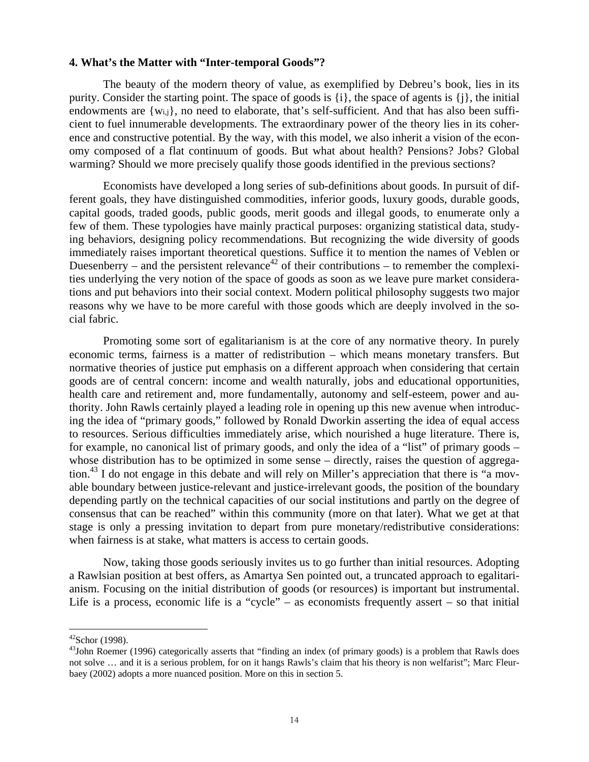#### **4. What's the Matter with "Inter-temporal Goods"?**

The beauty of the modern theory of value, as exemplified by Debreu's book, lies in its purity. Consider the starting point. The space of goods is {i}, the space of agents is {j}, the initial endowments are {wi,j}, no need to elaborate, that's self-sufficient. And that has also been sufficient to fuel innumerable developments. The extraordinary power of the theory lies in its coherence and constructive potential. By the way, with this model, we also inherit a vision of the economy composed of a flat continuum of goods. But what about health? Pensions? Jobs? Global warming? Should we more precisely qualify those goods identified in the previous sections?

Economists have developed a long series of sub-definitions about goods. In pursuit of different goals, they have distinguished commodities, inferior goods, luxury goods, durable goods, capital goods, traded goods, public goods, merit goods and illegal goods, to enumerate only a few of them. These typologies have mainly practical purposes: organizing statistical data, studying behaviors, designing policy recommendations. But recognizing the wide diversity of goods immediately raises important theoretical questions. Suffice it to mention the names of Veblen or Duesenberry – and the persistent relevance<sup>42</sup> of their contributions – to remember the complexities underlying the very notion of the space of goods as soon as we leave pure market considerations and put behaviors into their social context. Modern political philosophy suggests two major reasons why we have to be more careful with those goods which are deeply involved in the social fabric.

Promoting some sort of egalitarianism is at the core of any normative theory. In purely economic terms, fairness is a matter of redistribution – which means monetary transfers. But normative theories of justice put emphasis on a different approach when considering that certain goods are of central concern: income and wealth naturally, jobs and educational opportunities, health care and retirement and, more fundamentally, autonomy and self-esteem, power and authority. John Rawls certainly played a leading role in opening up this new avenue when introducing the idea of "primary goods," followed by Ronald Dworkin asserting the idea of equal access to resources. Serious difficulties immediately arise, which nourished a huge literature. There is, for example, no canonical list of primary goods, and only the idea of a "list" of primary goods – whose distribution has to be optimized in some sense – directly, raises the question of aggregation.<sup>43</sup> I do not engage in this debate and will rely on Miller's appreciation that there is "a movable boundary between justice-relevant and justice-irrelevant goods, the position of the boundary depending partly on the technical capacities of our social institutions and partly on the degree of consensus that can be reached" within this community (more on that later). What we get at that stage is only a pressing invitation to depart from pure monetary/redistributive considerations: when fairness is at stake, what matters is access to certain goods.

Now, taking those goods seriously invites us to go further than initial resources. Adopting a Rawlsian position at best offers, as Amartya Sen pointed out, a truncated approach to egalitarianism. Focusing on the initial distribution of goods (or resources) is important but instrumental. Life is a process, economic life is a "cycle" – as economists frequently assert – so that initial

 $42$ Schor (1998).

<sup>&</sup>lt;sup>43</sup>John Roemer (1996) categorically asserts that "finding an index (of primary goods) is a problem that Rawls does not solve … and it is a serious problem, for on it hangs Rawls's claim that his theory is non welfarist"; Marc Fleurbaey (2002) adopts a more nuanced position. More on this in section 5.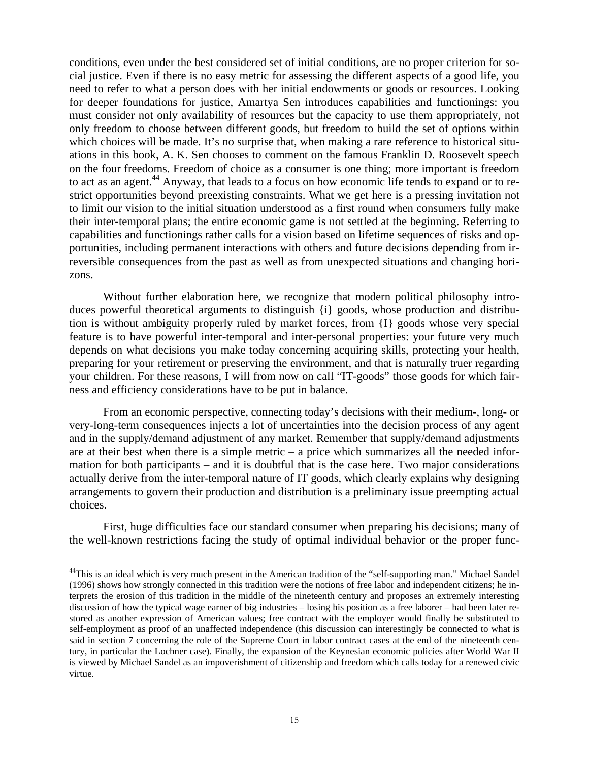conditions, even under the best considered set of initial conditions, are no proper criterion for social justice. Even if there is no easy metric for assessing the different aspects of a good life, you need to refer to what a person does with her initial endowments or goods or resources. Looking for deeper foundations for justice, Amartya Sen introduces capabilities and functionings: you must consider not only availability of resources but the capacity to use them appropriately, not only freedom to choose between different goods, but freedom to build the set of options within which choices will be made. It's no surprise that, when making a rare reference to historical situations in this book, A. K. Sen chooses to comment on the famous Franklin D. Roosevelt speech on the four freedoms. Freedom of choice as a consumer is one thing; more important is freedom to act as an agent.<sup>44</sup> Anyway, that leads to a focus on how economic life tends to expand or to restrict opportunities beyond preexisting constraints. What we get here is a pressing invitation not to limit our vision to the initial situation understood as a first round when consumers fully make their inter-temporal plans; the entire economic game is not settled at the beginning. Referring to capabilities and functionings rather calls for a vision based on lifetime sequences of risks and opportunities, including permanent interactions with others and future decisions depending from irreversible consequences from the past as well as from unexpected situations and changing horizons.

Without further elaboration here, we recognize that modern political philosophy introduces powerful theoretical arguments to distinguish {i} goods, whose production and distribution is without ambiguity properly ruled by market forces, from {I} goods whose very special feature is to have powerful inter-temporal and inter-personal properties: your future very much depends on what decisions you make today concerning acquiring skills, protecting your health, preparing for your retirement or preserving the environment, and that is naturally truer regarding your children. For these reasons, I will from now on call "IT-goods" those goods for which fairness and efficiency considerations have to be put in balance.

From an economic perspective, connecting today's decisions with their medium-, long- or very-long-term consequences injects a lot of uncertainties into the decision process of any agent and in the supply/demand adjustment of any market. Remember that supply/demand adjustments are at their best when there is a simple metric – a price which summarizes all the needed information for both participants – and it is doubtful that is the case here. Two major considerations actually derive from the inter-temporal nature of IT goods, which clearly explains why designing arrangements to govern their production and distribution is a preliminary issue preempting actual choices.

First, huge difficulties face our standard consumer when preparing his decisions; many of the well-known restrictions facing the study of optimal individual behavior or the proper func-

<u>.</u>

<sup>&</sup>lt;sup>44</sup>This is an ideal which is very much present in the American tradition of the "self-supporting man." Michael Sandel (1996) shows how strongly connected in this tradition were the notions of free labor and independent citizens; he interprets the erosion of this tradition in the middle of the nineteenth century and proposes an extremely interesting discussion of how the typical wage earner of big industries – losing his position as a free laborer – had been later restored as another expression of American values; free contract with the employer would finally be substituted to self-employment as proof of an unaffected independence (this discussion can interestingly be connected to what is said in section 7 concerning the role of the Supreme Court in labor contract cases at the end of the nineteenth century, in particular the Lochner case). Finally, the expansion of the Keynesian economic policies after World War II is viewed by Michael Sandel as an impoverishment of citizenship and freedom which calls today for a renewed civic virtue.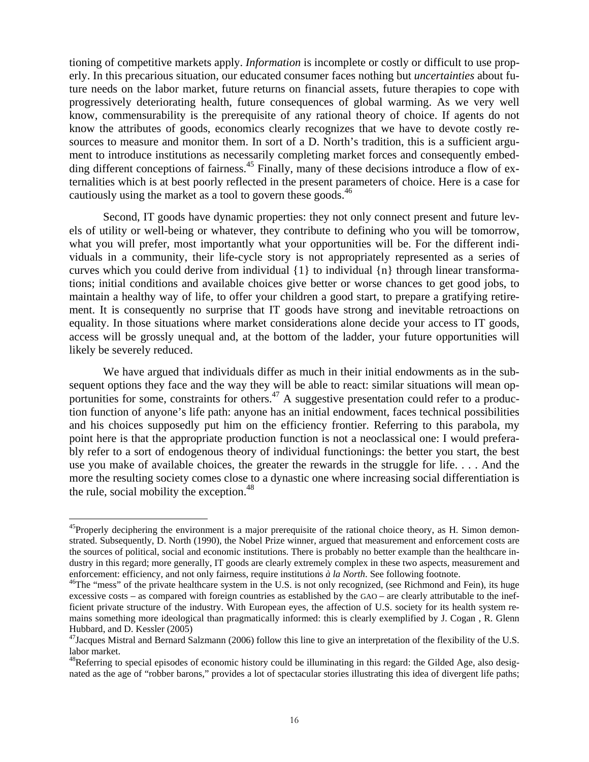tioning of competitive markets apply. *Information* is incomplete or costly or difficult to use properly. In this precarious situation, our educated consumer faces nothing but *uncertainties* about future needs on the labor market, future returns on financial assets, future therapies to cope with progressively deteriorating health, future consequences of global warming. As we very well know, commensurability is the prerequisite of any rational theory of choice. If agents do not know the attributes of goods, economics clearly recognizes that we have to devote costly resources to measure and monitor them. In sort of a D. North's tradition, this is a sufficient argument to introduce institutions as necessarily completing market forces and consequently embedding different conceptions of fairness.<sup>45</sup> Finally, many of these decisions introduce a flow of externalities which is at best poorly reflected in the present parameters of choice. Here is a case for cautiously using the market as a tool to govern these goods.<sup>46</sup>

Second, IT goods have dynamic properties: they not only connect present and future levels of utility or well-being or whatever, they contribute to defining who you will be tomorrow, what you will prefer, most importantly what your opportunities will be. For the different individuals in a community, their life-cycle story is not appropriately represented as a series of curves which you could derive from individual {1} to individual {n} through linear transformations; initial conditions and available choices give better or worse chances to get good jobs, to maintain a healthy way of life, to offer your children a good start, to prepare a gratifying retirement. It is consequently no surprise that IT goods have strong and inevitable retroactions on equality. In those situations where market considerations alone decide your access to IT goods, access will be grossly unequal and, at the bottom of the ladder, your future opportunities will likely be severely reduced.

We have argued that individuals differ as much in their initial endowments as in the subsequent options they face and the way they will be able to react: similar situations will mean opportunities for some, constraints for others.<sup>47</sup> A suggestive presentation could refer to a production function of anyone's life path: anyone has an initial endowment, faces technical possibilities and his choices supposedly put him on the efficiency frontier. Referring to this parabola, my point here is that the appropriate production function is not a neoclassical one: I would preferably refer to a sort of endogenous theory of individual functionings: the better you start, the best use you make of available choices, the greater the rewards in the struggle for life. . . . And the more the resulting society comes close to a dynastic one where increasing social differentiation is the rule, social mobility the exception. $48$ 

 $^{45}$ Properly deciphering the environment is a major prerequisite of the rational choice theory, as H. Simon demonstrated. Subsequently, D. North (1990), the Nobel Prize winner, argued that measurement and enforcement costs are the sources of political, social and economic institutions. There is probably no better example than the healthcare industry in this regard; more generally, IT goods are clearly extremely complex in these two aspects, measurement and

enforcement: efficiency, and not only fairness, require institutions  $\partial a$  la North. See following footnote.<br><sup>46</sup>The "mess" of the private healthcare system in the U.S. is not only recognized, (see Richmond and Fein), its excessive costs – as compared with foreign countries as established by the GAO – are clearly attributable to the inefficient private structure of the industry. With European eyes, the affection of U.S. society for its health system remains something more ideological than pragmatically informed: this is clearly exemplified by J. Cogan , R. Glenn Hubbard, and D. Kessler (2005)

 $47$ Jacques Mistral and Bernard Salzmann (2006) follow this line to give an interpretation of the flexibility of the U.S. labor market.

 $48$ Referring to special episodes of economic history could be illuminating in this regard: the Gilded Age, also designated as the age of "robber barons," provides a lot of spectacular stories illustrating this idea of divergent life paths;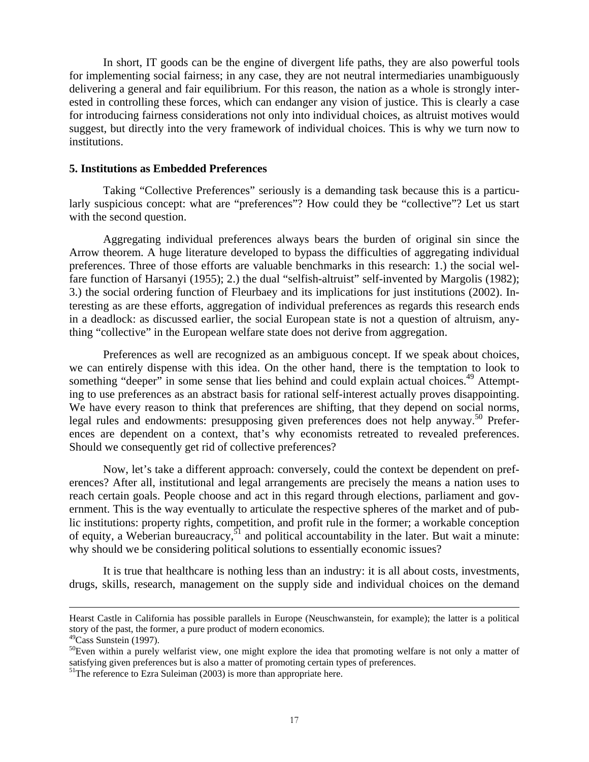In short, IT goods can be the engine of divergent life paths, they are also powerful tools for implementing social fairness; in any case, they are not neutral intermediaries unambiguously delivering a general and fair equilibrium. For this reason, the nation as a whole is strongly interested in controlling these forces, which can endanger any vision of justice. This is clearly a case for introducing fairness considerations not only into individual choices, as altruist motives would suggest, but directly into the very framework of individual choices. This is why we turn now to institutions.

#### **5. Institutions as Embedded Preferences**

Taking "Collective Preferences" seriously is a demanding task because this is a particularly suspicious concept: what are "preferences"? How could they be "collective"? Let us start with the second question.

Aggregating individual preferences always bears the burden of original sin since the Arrow theorem. A huge literature developed to bypass the difficulties of aggregating individual preferences. Three of those efforts are valuable benchmarks in this research: 1.) the social welfare function of Harsanyi (1955); 2.) the dual "selfish-altruist" self-invented by Margolis (1982); 3.) the social ordering function of Fleurbaey and its implications for just institutions (2002). Interesting as are these efforts, aggregation of individual preferences as regards this research ends in a deadlock: as discussed earlier, the social European state is not a question of altruism, anything "collective" in the European welfare state does not derive from aggregation.

Preferences as well are recognized as an ambiguous concept. If we speak about choices, we can entirely dispense with this idea. On the other hand, there is the temptation to look to something "deeper" in some sense that lies behind and could explain actual choices.<sup>49</sup> Attempting to use preferences as an abstract basis for rational self-interest actually proves disappointing. We have every reason to think that preferences are shifting, that they depend on social norms, legal rules and endowments: presupposing given preferences does not help anyway.<sup>50</sup> Preferences are dependent on a context, that's why economists retreated to revealed preferences. Should we consequently get rid of collective preferences?

Now, let's take a different approach: conversely, could the context be dependent on preferences? After all, institutional and legal arrangements are precisely the means a nation uses to reach certain goals. People choose and act in this regard through elections, parliament and government. This is the way eventually to articulate the respective spheres of the market and of public institutions: property rights, competition, and profit rule in the former; a workable conception of equity, a Weberian bureaucracy,  $51$  and political accountability in the later. But wait a minute: why should we be considering political solutions to essentially economic issues?

It is true that healthcare is nothing less than an industry: it is all about costs, investments, drugs, skills, research, management on the supply side and individual choices on the demand

Hearst Castle in California has possible parallels in Europe (Neuschwanstein, for example); the latter is a political story of the past, the former, a pure product of modern economics.

 $49$ Cass Sunstein (1997).

 $50$ Even within a purely welfarist view, one might explore the idea that promoting welfare is not only a matter of satisfying given preferences but is also a matter of promoting certain types of preferences.

 $51$ The reference to Ezra Suleiman (2003) is more than appropriate here.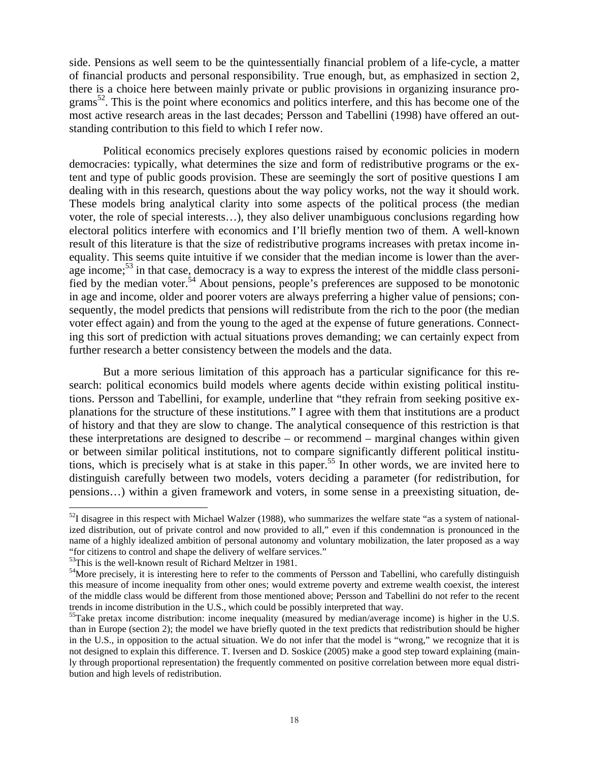side. Pensions as well seem to be the quintessentially financial problem of a life-cycle, a matter of financial products and personal responsibility. True enough, but, as emphasized in section 2, there is a choice here between mainly private or public provisions in organizing insurance pro- $\gamma$ grams<sup>52</sup>. This is the point where economics and politics interfere, and this has become one of the most active research areas in the last decades; Persson and Tabellini (1998) have offered an outstanding contribution to this field to which I refer now.

Political economics precisely explores questions raised by economic policies in modern democracies: typically, what determines the size and form of redistributive programs or the extent and type of public goods provision. These are seemingly the sort of positive questions I am dealing with in this research, questions about the way policy works, not the way it should work. These models bring analytical clarity into some aspects of the political process (the median voter, the role of special interests…), they also deliver unambiguous conclusions regarding how electoral politics interfere with economics and I'll briefly mention two of them. A well-known result of this literature is that the size of redistributive programs increases with pretax income inequality. This seems quite intuitive if we consider that the median income is lower than the average income;<sup>53</sup> in that case, democracy is a way to express the interest of the middle class personified by the median voter.<sup>54</sup> About pensions, people's preferences are supposed to be monotonic in age and income, older and poorer voters are always preferring a higher value of pensions; consequently, the model predicts that pensions will redistribute from the rich to the poor (the median voter effect again) and from the young to the aged at the expense of future generations. Connecting this sort of prediction with actual situations proves demanding; we can certainly expect from further research a better consistency between the models and the data.

But a more serious limitation of this approach has a particular significance for this research: political economics build models where agents decide within existing political institutions. Persson and Tabellini, for example, underline that "they refrain from seeking positive explanations for the structure of these institutions." I agree with them that institutions are a product of history and that they are slow to change. The analytical consequence of this restriction is that these interpretations are designed to describe – or recommend – marginal changes within given or between similar political institutions, not to compare significantly different political institutions, which is precisely what is at stake in this paper.<sup>55</sup> In other words, we are invited here to distinguish carefully between two models, voters deciding a parameter (for redistribution, for pensions…) within a given framework and voters, in some sense in a preexisting situation, de-

 $52$ I disagree in this respect with Michael Walzer (1988), who summarizes the welfare state "as a system of nationalized distribution, out of private control and now provided to all," even if this condemnation is pronounced in the name of a highly idealized ambition of personal autonomy and voluntary mobilization, the later proposed as a way "for citizens to control and shape the delivery of welfare services." 53This is the well-known result of Richard Meltzer in 1981.

<sup>&</sup>lt;sup>54</sup>More precisely, it is interesting here to refer to the comments of Persson and Tabellini, who carefully distinguish this measure of income inequality from other ones; would extreme poverty and extreme wealth coexist, the interest of the middle class would be different from those mentioned above; Persson and Tabellini do not refer to the recent trends in income distribution in the U.S., which could be possibly interpreted that way.

 $55$ Take pretax income distribution: income inequality (measured by median/average income) is higher in the U.S. than in Europe (section 2); the model we have briefly quoted in the text predicts that redistribution should be higher in the U.S., in opposition to the actual situation. We do not infer that the model is "wrong," we recognize that it is not designed to explain this difference. T. Iversen and D. Soskice (2005) make a good step toward explaining (mainly through proportional representation) the frequently commented on positive correlation between more equal distribution and high levels of redistribution.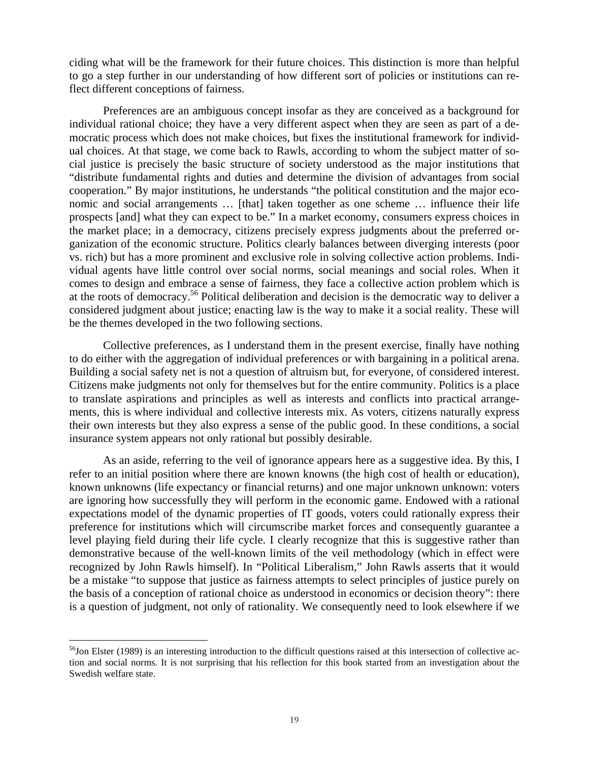ciding what will be the framework for their future choices. This distinction is more than helpful to go a step further in our understanding of how different sort of policies or institutions can reflect different conceptions of fairness.

Preferences are an ambiguous concept insofar as they are conceived as a background for individual rational choice; they have a very different aspect when they are seen as part of a democratic process which does not make choices, but fixes the institutional framework for individual choices. At that stage, we come back to Rawls, according to whom the subject matter of social justice is precisely the basic structure of society understood as the major institutions that "distribute fundamental rights and duties and determine the division of advantages from social cooperation." By major institutions, he understands "the political constitution and the major economic and social arrangements … [that] taken together as one scheme … influence their life prospects [and] what they can expect to be." In a market economy, consumers express choices in the market place; in a democracy, citizens precisely express judgments about the preferred organization of the economic structure. Politics clearly balances between diverging interests (poor vs. rich) but has a more prominent and exclusive role in solving collective action problems. Individual agents have little control over social norms, social meanings and social roles. When it comes to design and embrace a sense of fairness, they face a collective action problem which is at the roots of democracy.56 Political deliberation and decision is the democratic way to deliver a considered judgment about justice; enacting law is the way to make it a social reality. These will be the themes developed in the two following sections.

Collective preferences, as I understand them in the present exercise, finally have nothing to do either with the aggregation of individual preferences or with bargaining in a political arena. Building a social safety net is not a question of altruism but, for everyone, of considered interest. Citizens make judgments not only for themselves but for the entire community. Politics is a place to translate aspirations and principles as well as interests and conflicts into practical arrangements, this is where individual and collective interests mix. As voters, citizens naturally express their own interests but they also express a sense of the public good. In these conditions, a social insurance system appears not only rational but possibly desirable.

As an aside, referring to the veil of ignorance appears here as a suggestive idea. By this, I refer to an initial position where there are known knowns (the high cost of health or education), known unknowns (life expectancy or financial returns) and one major unknown unknown: voters are ignoring how successfully they will perform in the economic game. Endowed with a rational expectations model of the dynamic properties of IT goods, voters could rationally express their preference for institutions which will circumscribe market forces and consequently guarantee a level playing field during their life cycle. I clearly recognize that this is suggestive rather than demonstrative because of the well-known limits of the veil methodology (which in effect were recognized by John Rawls himself). In "Political Liberalism," John Rawls asserts that it would be a mistake "to suppose that justice as fairness attempts to select principles of justice purely on the basis of a conception of rational choice as understood in economics or decision theory": there is a question of judgment, not only of rationality. We consequently need to look elsewhere if we

 $56$ Jon Elster (1989) is an interesting introduction to the difficult questions raised at this intersection of collective action and social norms. It is not surprising that his reflection for this book started from an investigation about the Swedish welfare state.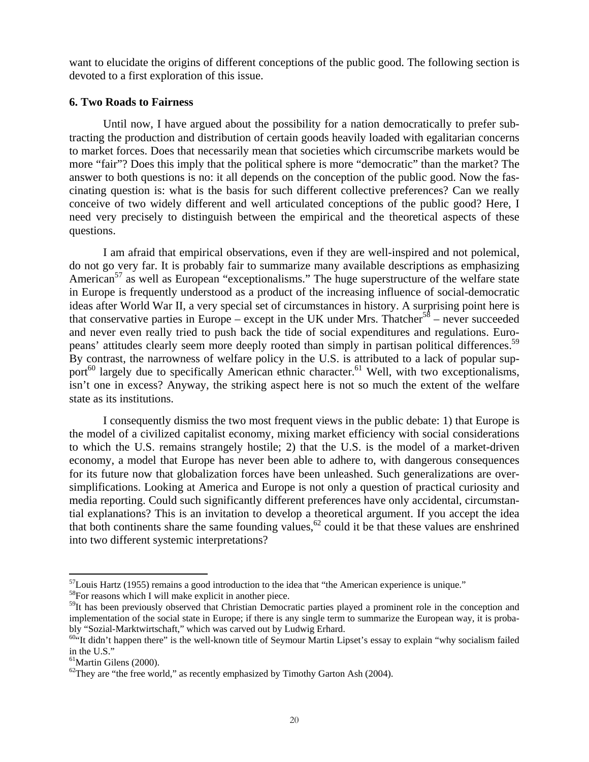want to elucidate the origins of different conceptions of the public good. The following section is devoted to a first exploration of this issue.

#### **6. Two Roads to Fairness**

Until now, I have argued about the possibility for a nation democratically to prefer subtracting the production and distribution of certain goods heavily loaded with egalitarian concerns to market forces. Does that necessarily mean that societies which circumscribe markets would be more "fair"? Does this imply that the political sphere is more "democratic" than the market? The answer to both questions is no: it all depends on the conception of the public good. Now the fascinating question is: what is the basis for such different collective preferences? Can we really conceive of two widely different and well articulated conceptions of the public good? Here, I need very precisely to distinguish between the empirical and the theoretical aspects of these questions.

I am afraid that empirical observations, even if they are well-inspired and not polemical, do not go very far. It is probably fair to summarize many available descriptions as emphasizing American<sup>57</sup> as well as European "exceptionalisms." The huge superstructure of the welfare state in Europe is frequently understood as a product of the increasing influence of social-democratic ideas after World War II, a very special set of circumstances in history. A surprising point here is that conservative parties in Europe – except in the UK under Mrs. Thatcher<sup>58</sup> – never succeeded and never even really tried to push back the tide of social expenditures and regulations. Europeans' attitudes clearly seem more deeply rooted than simply in partisan political differences.<sup>59</sup> By contrast, the narrowness of welfare policy in the U.S. is attributed to a lack of popular support<sup>60</sup> largely due to specifically American ethnic character.<sup>61</sup> Well, with two exceptionalisms, isn't one in excess? Anyway, the striking aspect here is not so much the extent of the welfare state as its institutions.

I consequently dismiss the two most frequent views in the public debate: 1) that Europe is the model of a civilized capitalist economy, mixing market efficiency with social considerations to which the U.S. remains strangely hostile; 2) that the U.S. is the model of a market-driven economy, a model that Europe has never been able to adhere to, with dangerous consequences for its future now that globalization forces have been unleashed. Such generalizations are oversimplifications. Looking at America and Europe is not only a question of practical curiosity and media reporting. Could such significantly different preferences have only accidental, circumstantial explanations? This is an invitation to develop a theoretical argument. If you accept the idea that both continents share the same founding values,  $62$  could it be that these values are enshrined into two different systemic interpretations?

 $57$ Louis Hartz (1955) remains a good introduction to the idea that "the American experience is unique."  $58$ For reasons which I will make explicit in another piece.

<sup>&</sup>lt;sup>59</sup>It has been previously observed that Christian Democratic parties played a prominent role in the conception and implementation of the social state in Europe; if there is any single term to summarize the European way, it is probably "Sozial-Marktwirtschaft," which was carved out by Ludwig Erhard.<br><sup>604</sup>It didn't happen there" is the well-known title of Seymour Martin Lipset's essay to explain "why socialism failed

in the U.S."

<sup>61</sup>Martin Gilens (2000).

 $^{62}$ They are "the free world," as recently emphasized by Timothy Garton Ash (2004).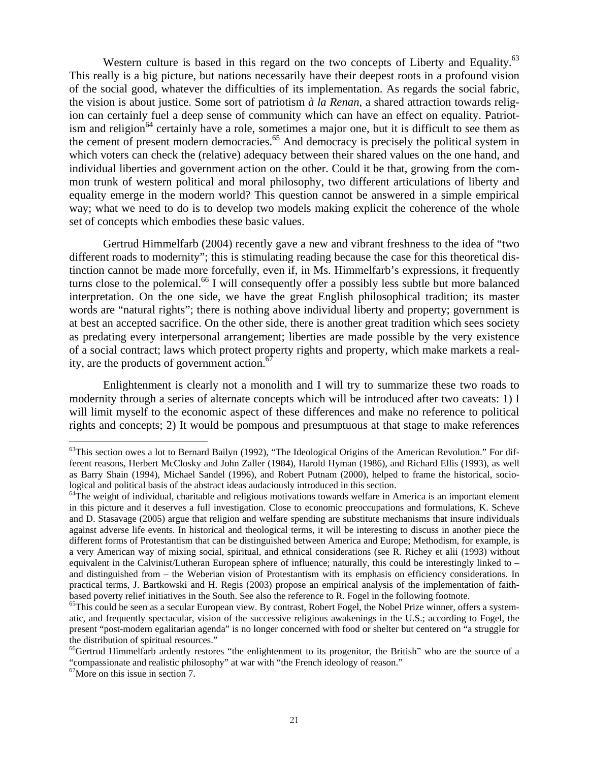Western culture is based in this regard on the two concepts of Liberty and Equality.<sup>63</sup> This really is a big picture, but nations necessarily have their deepest roots in a profound vision of the social good, whatever the difficulties of its implementation. As regards the social fabric, the vision is about justice. Some sort of patriotism *à la Renan*, a shared attraction towards religion can certainly fuel a deep sense of community which can have an effect on equality. Patriotism and religion<sup>64</sup> certainly have a role, sometimes a major one, but it is difficult to see them as the cement of present modern democracies.<sup>65</sup> And democracy is precisely the political system in which voters can check the (relative) adequacy between their shared values on the one hand, and individual liberties and government action on the other. Could it be that, growing from the common trunk of western political and moral philosophy, two different articulations of liberty and equality emerge in the modern world? This question cannot be answered in a simple empirical way; what we need to do is to develop two models making explicit the coherence of the whole set of concepts which embodies these basic values.

Gertrud Himmelfarb (2004) recently gave a new and vibrant freshness to the idea of "two different roads to modernity"; this is stimulating reading because the case for this theoretical distinction cannot be made more forcefully, even if, in Ms. Himmelfarb's expressions, it frequently turns close to the polemical.<sup>66</sup> I will consequently offer a possibly less subtle but more balanced interpretation. On the one side, we have the great English philosophical tradition; its master words are "natural rights"; there is nothing above individual liberty and property; government is at best an accepted sacrifice. On the other side, there is another great tradition which sees society as predating every interpersonal arrangement; liberties are made possible by the very existence of a social contract; laws which protect property rights and property, which make markets a reality, are the products of government action. $67$ 

Enlightenment is clearly not a monolith and I will try to summarize these two roads to modernity through a series of alternate concepts which will be introduced after two caveats: 1) I will limit myself to the economic aspect of these differences and make no reference to political rights and concepts; 2) It would be pompous and presumptuous at that stage to make references

<sup>&</sup>lt;sup>63</sup>This section owes a lot to Bernard Bailyn (1992), "The Ideological Origins of the American Revolution." For different reasons, Herbert McClosky and John Zaller (1984), Harold Hyman (1986), and Richard Ellis (1993), as well as Barry Shain (1994), Michael Sandel (1996), and Robert Putnam (2000), helped to frame the historical, sociological and political basis of the abstract ideas audaciously introduced in this section.<br><sup>64</sup>The weight of individual, charitable and religious motivations towards welfare in America is an important element

in this picture and it deserves a full investigation. Close to economic preoccupations and formulations, K. Scheve and D. Stasavage (2005) argue that religion and welfare spending are substitute mechanisms that insure individuals against adverse life events. In historical and theological terms, it will be interesting to discuss in another piece the different forms of Protestantism that can be distinguished between America and Europe; Methodism, for example, is a very American way of mixing social, spiritual, and ethnical considerations (see R. Richey et alii (1993) without equivalent in the Calvinist/Lutheran European sphere of influence; naturally, this could be interestingly linked to – and distinguished from – the Weberian vision of Protestantism with its emphasis on efficiency considerations. In practical terms, J. Bartkowski and H. Regis (2003) propose an empirical analysis of the implementation of faithbased poverty relief initiatives in the South. See also the reference to R. Fogel in the following footnote.

<sup>&</sup>lt;sup>65</sup>This could be seen as a secular European view. By contrast, Robert Fogel, the Nobel Prize winner, offers a systematic, and frequently spectacular, vision of the successive religious awakenings in the U.S.; according to Fogel, the present "post-modern egalitarian agenda" is no longer concerned with food or shelter but centered on "a struggle for the distribution of spiritual resources."

<sup>&</sup>lt;sup>66</sup>Gertrud Himmelfarb ardently restores "the enlightenment to its progenitor, the British" who are the source of a "compassionate and realistic philosophy" at war with "the French ideology of reason."

<sup>67</sup>More on this issue in section 7.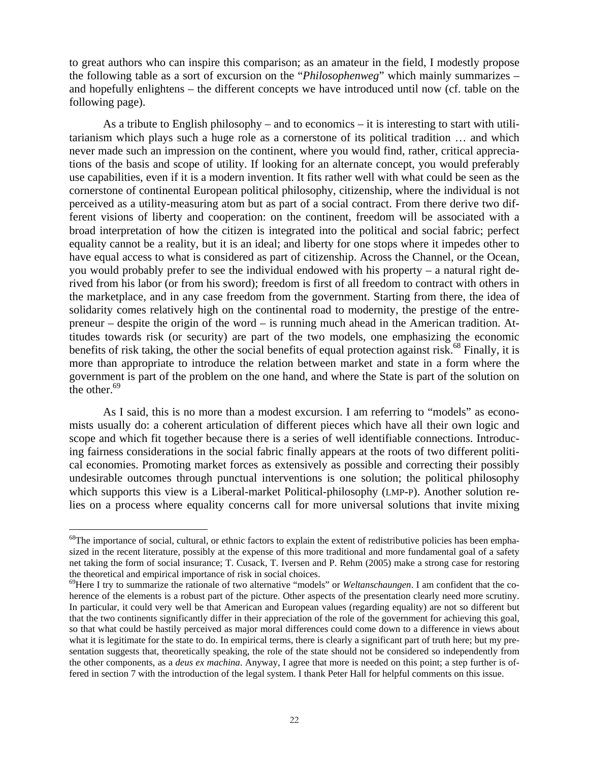to great authors who can inspire this comparison; as an amateur in the field, I modestly propose the following table as a sort of excursion on the "*Philosophenweg*" which mainly summarizes – and hopefully enlightens – the different concepts we have introduced until now (cf. table on the following page).

As a tribute to English philosophy – and to economics – it is interesting to start with utilitarianism which plays such a huge role as a cornerstone of its political tradition … and which never made such an impression on the continent, where you would find, rather, critical appreciations of the basis and scope of utility. If looking for an alternate concept, you would preferably use capabilities, even if it is a modern invention. It fits rather well with what could be seen as the cornerstone of continental European political philosophy, citizenship, where the individual is not perceived as a utility-measuring atom but as part of a social contract. From there derive two different visions of liberty and cooperation: on the continent, freedom will be associated with a broad interpretation of how the citizen is integrated into the political and social fabric; perfect equality cannot be a reality, but it is an ideal; and liberty for one stops where it impedes other to have equal access to what is considered as part of citizenship. Across the Channel, or the Ocean, you would probably prefer to see the individual endowed with his property – a natural right derived from his labor (or from his sword); freedom is first of all freedom to contract with others in the marketplace, and in any case freedom from the government. Starting from there, the idea of solidarity comes relatively high on the continental road to modernity, the prestige of the entrepreneur – despite the origin of the word – is running much ahead in the American tradition. Attitudes towards risk (or security) are part of the two models, one emphasizing the economic benefits of risk taking, the other the social benefits of equal protection against risk.<sup>68</sup> Finally, it is more than appropriate to introduce the relation between market and state in a form where the government is part of the problem on the one hand, and where the State is part of the solution on the other. $69$ 

As I said, this is no more than a modest excursion. I am referring to "models" as economists usually do: a coherent articulation of different pieces which have all their own logic and scope and which fit together because there is a series of well identifiable connections. Introducing fairness considerations in the social fabric finally appears at the roots of two different political economies. Promoting market forces as extensively as possible and correcting their possibly undesirable outcomes through punctual interventions is one solution; the political philosophy which supports this view is a Liberal-market Political-philosophy (LMP-P). Another solution relies on a process where equality concerns call for more universal solutions that invite mixing

 $68$ The importance of social, cultural, or ethnic factors to explain the extent of redistributive policies has been emphasized in the recent literature, possibly at the expense of this more traditional and more fundamental goal of a safety net taking the form of social insurance; T. Cusack, T. Iversen and P. Rehm (2005) make a strong case for restoring

<sup>&</sup>lt;sup>69</sup>Here I try to summarize the rationale of two alternative "models" or *Weltanschaungen*. I am confident that the coherence of the elements is a robust part of the picture. Other aspects of the presentation clearly need more scrutiny. In particular, it could very well be that American and European values (regarding equality) are not so different but that the two continents significantly differ in their appreciation of the role of the government for achieving this goal, so that what could be hastily perceived as major moral differences could come down to a difference in views about what it is legitimate for the state to do. In empirical terms, there is clearly a significant part of truth here; but my presentation suggests that, theoretically speaking, the role of the state should not be considered so independently from the other components, as a *deus ex machina*. Anyway, I agree that more is needed on this point; a step further is offered in section 7 with the introduction of the legal system. I thank Peter Hall for helpful comments on this issue.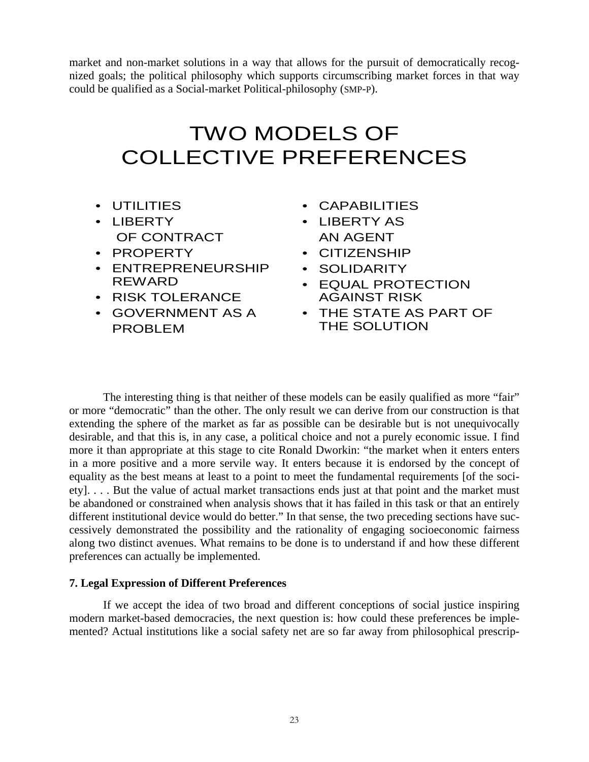market and non-market solutions in a way that allows for the pursuit of democratically recognized goals; the political philosophy which supports circumscribing market forces in that way could be qualified as a Social-market Political-philosophy (SMP-P).

# TWO MODELS OF COLLECTIVE PREFERENCES

- UTILITIES
- LIBERTY OF CONTRACT
- PROPERTY
- ENTREPRENEURSHIP REWARD
- RISK TOLERANCE
- GOVERNMENT AS A PROBLEM
- CAPABILITIES
- LIBERTY AS AN AGENT
- CITIZENSHIP
- SOLIDARITY
- EQUAL PROTECTION AGAINST RISK
- THE STATE AS PART OF THE SOLUTION

The interesting thing is that neither of these models can be easily qualified as more "fair" or more "democratic" than the other. The only result we can derive from our construction is that extending the sphere of the market as far as possible can be desirable but is not unequivocally desirable, and that this is, in any case, a political choice and not a purely economic issue. I find more it than appropriate at this stage to cite Ronald Dworkin: "the market when it enters enters in a more positive and a more servile way. It enters because it is endorsed by the concept of equality as the best means at least to a point to meet the fundamental requirements [of the society]. . . . But the value of actual market transactions ends just at that point and the market must be abandoned or constrained when analysis shows that it has failed in this task or that an entirely different institutional device would do better." In that sense, the two preceding sections have successively demonstrated the possibility and the rationality of engaging socioeconomic fairness along two distinct avenues. What remains to be done is to understand if and how these different preferences can actually be implemented.

## **7. Legal Expression of Different Preferences**

If we accept the idea of two broad and different conceptions of social justice inspiring modern market-based democracies, the next question is: how could these preferences be implemented? Actual institutions like a social safety net are so far away from philosophical prescrip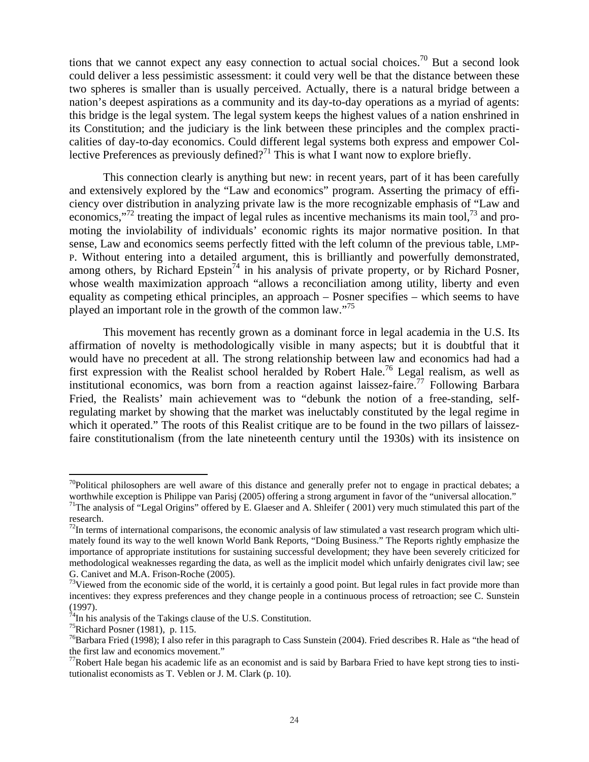tions that we cannot expect any easy connection to actual social choices.<sup>70</sup> But a second look could deliver a less pessimistic assessment: it could very well be that the distance between these two spheres is smaller than is usually perceived. Actually, there is a natural bridge between a nation's deepest aspirations as a community and its day-to-day operations as a myriad of agents: this bridge is the legal system. The legal system keeps the highest values of a nation enshrined in its Constitution; and the judiciary is the link between these principles and the complex practicalities of day-to-day economics. Could different legal systems both express and empower Collective Preferences as previously defined?<sup>71</sup> This is what I want now to explore briefly.

This connection clearly is anything but new: in recent years, part of it has been carefully and extensively explored by the "Law and economics" program. Asserting the primacy of efficiency over distribution in analyzing private law is the more recognizable emphasis of "Law and economics,"<sup>72</sup> treating the impact of legal rules as incentive mechanisms its main tool, $^{73}$  and promoting the inviolability of individuals' economic rights its major normative position. In that sense, Law and economics seems perfectly fitted with the left column of the previous table, LMP-P. Without entering into a detailed argument, this is brilliantly and powerfully demonstrated, among others, by Richard Epstein<sup>74</sup> in his analysis of private property, or by Richard Posner, whose wealth maximization approach "allows a reconciliation among utility, liberty and even equality as competing ethical principles, an approach – Posner specifies – which seems to have played an important role in the growth of the common law."<sup>75</sup>

This movement has recently grown as a dominant force in legal academia in the U.S. Its affirmation of novelty is methodologically visible in many aspects; but it is doubtful that it would have no precedent at all. The strong relationship between law and economics had had a first expression with the Realist school heralded by Robert Hale.76 Legal realism, as well as institutional economics, was born from a reaction against laissez-faire.<sup>77</sup> Following Barbara Fried, the Realists' main achievement was to "debunk the notion of a free-standing, selfregulating market by showing that the market was ineluctably constituted by the legal regime in which it operated." The roots of this Realist critique are to be found in the two pillars of laissezfaire constitutionalism (from the late nineteenth century until the 1930s) with its insistence on

 $70$ Political philosophers are well aware of this distance and generally prefer not to engage in practical debates; a worthwhile exception is Philippe van Parisj (2005) offering a strong argument in favor of the "universal allocation." <sup>71</sup>The analysis of "Legal Origins" offered by E. Glaeser and A. Shleifer (2001) very much stimulated this part of the

research.

 $<sup>72</sup>$ In terms of international comparisons, the economic analysis of law stimulated a vast research program which ulti-</sup> mately found its way to the well known World Bank Reports, "Doing Business." The Reports rightly emphasize the importance of appropriate institutions for sustaining successful development; they have been severely criticized for methodological weaknesses regarding the data, as well as the implicit model which unfairly denigrates civil law; see G. Canivet and M.A. Frison-Roche (2005).

 $73$ Viewed from the economic side of the world, it is certainly a good point. But legal rules in fact provide more than  $73$ incentives: they express preferences and they change people in a continuous process of retroaction; see C. Sunstein (1997).

 $^{74}$ In his analysis of the Takings clause of the U.S. Constitution.

 $75$ Richard Posner (1981), p. 115.

 $76$ Barbara Fried (1998); I also refer in this paragraph to Cass Sunstein (2004). Fried describes R. Hale as "the head of the first law and economics movement."

 $^{77}$ Robert Hale began his academic life as an economist and is said by Barbara Fried to have kept strong ties to institutionalist economists as T. Veblen or J. M. Clark (p. 10).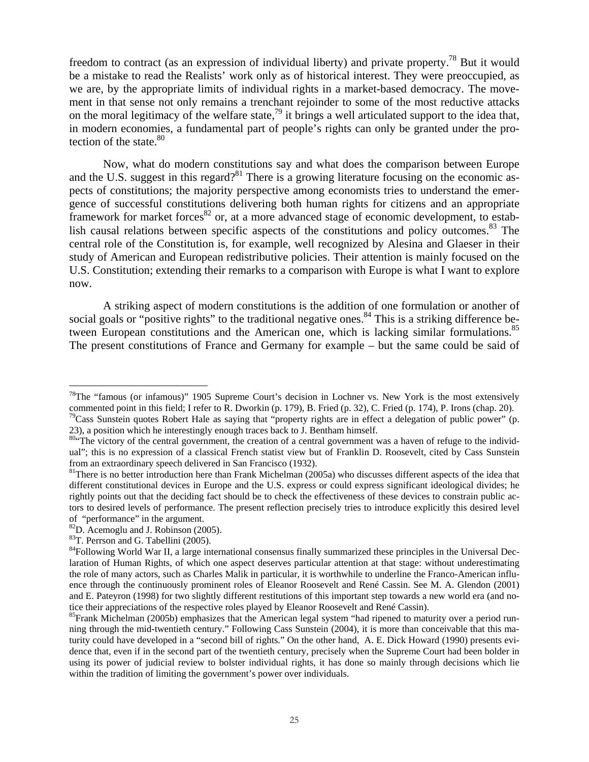freedom to contract (as an expression of individual liberty) and private property.<sup>78</sup> But it would be a mistake to read the Realists' work only as of historical interest. They were preoccupied, as we are, by the appropriate limits of individual rights in a market-based democracy. The movement in that sense not only remains a trenchant rejoinder to some of the most reductive attacks on the moral legitimacy of the welfare state,<sup>79</sup> it brings a well articulated support to the idea that, in modern economies, a fundamental part of people's rights can only be granted under the protection of the state. $80$ 

Now, what do modern constitutions say and what does the comparison between Europe and the U.S. suggest in this regard?<sup>81</sup> There is a growing literature focusing on the economic aspects of constitutions; the majority perspective among economists tries to understand the emergence of successful constitutions delivering both human rights for citizens and an appropriate framework for market forces<sup>82</sup> or, at a more advanced stage of economic development, to establish causal relations between specific aspects of the constitutions and policy outcomes.<sup>83</sup> The central role of the Constitution is, for example, well recognized by Alesina and Glaeser in their study of American and European redistributive policies. Their attention is mainly focused on the U.S. Constitution; extending their remarks to a comparison with Europe is what I want to explore now.

A striking aspect of modern constitutions is the addition of one formulation or another of social goals or "positive rights" to the traditional negative ones.<sup>84</sup> This is a striking difference between European constitutions and the American one, which is lacking similar formulations.<sup>85</sup> The present constitutions of France and Germany for example – but the same could be said of

<sup>&</sup>lt;sup>78</sup>The "famous (or infamous)" 1905 Supreme Court's decision in Lochner vs. New York is the most extensively commented point in this field; I refer to R. Dworkin (p. 179), B. Fried (p. 32), C. Fried (p. 174), P. Irons (chap. 20).

<sup>&</sup>lt;sup>79</sup>Cass Sunstein quotes Robert Hale as saying that "property rights are in effect a delegation of public power" (p. 23), a position which he interestingly enough traces back to J. Bentham himself.  $\frac{80}{4}$  The victory of the central government, the creation of a central government was a haven of refuge to the individ-

ual"; this is no expression of a classical French statist view but of Franklin D. Roosevelt, cited by Cass Sunstein from an extraordinary speech delivered in San Francisco (1932).<br><sup>81</sup>There is no better introduction here than Frank Michelman (2005a) who discusses different aspects of the idea that

different constitutional devices in Europe and the U.S. express or could express significant ideological divides; he rightly points out that the deciding fact should be to check the effectiveness of these devices to constrain public actors to desired levels of performance. The present reflection precisely tries to introduce explicitly this desired level of "performance" in the argument.<br><sup>82</sup>D. Acemoglu and J. Robinson (2005).

<sup>83</sup>T. Perrson and G. Tabellini (2005).

<sup>&</sup>lt;sup>84</sup>Following World War II, a large international consensus finally summarized these principles in the Universal Declaration of Human Rights, of which one aspect deserves particular attention at that stage: without underestimating the role of many actors, such as Charles Malik in particular, it is worthwhile to underline the Franco-American influence through the continuously prominent roles of Eleanor Roosevelt and René Cassin. See M. A. Glendon (2001) and E. Pateyron (1998) for two slightly different restitutions of this important step towards a new world era (and notice their appreciations of the respective roles played by Eleanor Roosevelt and René Cassin).<br><sup>85</sup>Frank Michelman (2005b) emphasizes that the American legal system "had ripened to maturity over a period run-

ning through the mid-twentieth century." Following Cass Sunstein (2004), it is more than conceivable that this maturity could have developed in a "second bill of rights." On the other hand, A. E. Dick Howard (1990) presents evidence that, even if in the second part of the twentieth century, precisely when the Supreme Court had been bolder in using its power of judicial review to bolster individual rights, it has done so mainly through decisions which lie within the tradition of limiting the government's power over individuals.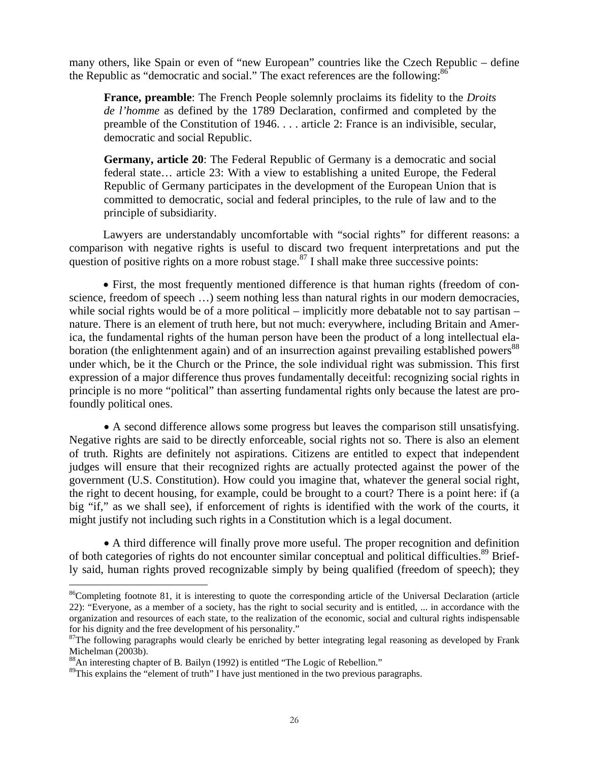many others, like Spain or even of "new European" countries like the Czech Republic – define the Republic as "democratic and social." The exact references are the following:<sup>86</sup>

**France, preamble**: The French People solemnly proclaims its fidelity to the *Droits de l'homme* as defined by the 1789 Declaration, confirmed and completed by the preamble of the Constitution of 1946. . . . article 2: France is an indivisible, secular, democratic and social Republic.

**Germany, article 20**: The Federal Republic of Germany is a democratic and social federal state… article 23: With a view to establishing a united Europe, the Federal Republic of Germany participates in the development of the European Union that is committed to democratic, social and federal principles, to the rule of law and to the principle of subsidiarity.

Lawyers are understandably uncomfortable with "social rights" for different reasons: a comparison with negative rights is useful to discard two frequent interpretations and put the question of positive rights on a more robust stage.<sup>87</sup> I shall make three successive points:

• First, the most frequently mentioned difference is that human rights (freedom of conscience, freedom of speech …) seem nothing less than natural rights in our modern democracies, while social rights would be of a more political – implicitly more debatable not to say partisan – nature. There is an element of truth here, but not much: everywhere, including Britain and America, the fundamental rights of the human person have been the product of a long intellectual elaboration (the enlightenment again) and of an insurrection against prevailing established powers<sup>88</sup> under which, be it the Church or the Prince, the sole individual right was submission. This first expression of a major difference thus proves fundamentally deceitful: recognizing social rights in principle is no more "political" than asserting fundamental rights only because the latest are profoundly political ones.

• A second difference allows some progress but leaves the comparison still unsatisfying. Negative rights are said to be directly enforceable, social rights not so. There is also an element of truth. Rights are definitely not aspirations. Citizens are entitled to expect that independent judges will ensure that their recognized rights are actually protected against the power of the government (U.S. Constitution). How could you imagine that, whatever the general social right, the right to decent housing, for example, could be brought to a court? There is a point here: if (a big "if," as we shall see), if enforcement of rights is identified with the work of the courts, it might justify not including such rights in a Constitution which is a legal document.

• A third difference will finally prove more useful. The proper recognition and definition of both categories of rights do not encounter similar conceptual and political difficulties.<sup>89</sup> Briefly said, human rights proved recognizable simply by being qualified (freedom of speech); they

<sup>&</sup>lt;sup>86</sup>Completing footnote 81, it is interesting to quote the corresponding article of the Universal Declaration (article 22): "Everyone, as a member of a society, has the right to social security and is entitled, ... in accordance with the organization and resources of each state, to the realization of the economic, social and cultural rights indispensable for his dignity and the free development of his personality."

 $87$ The following paragraphs would clearly be enriched by better integrating legal reasoning as developed by Frank Michelman (2003b).

<sup>88</sup>An interesting chapter of B. Bailyn (1992) is entitled "The Logic of Rebellion."

<sup>&</sup>lt;sup>89</sup>This explains the "element of truth" I have just mentioned in the two previous paragraphs.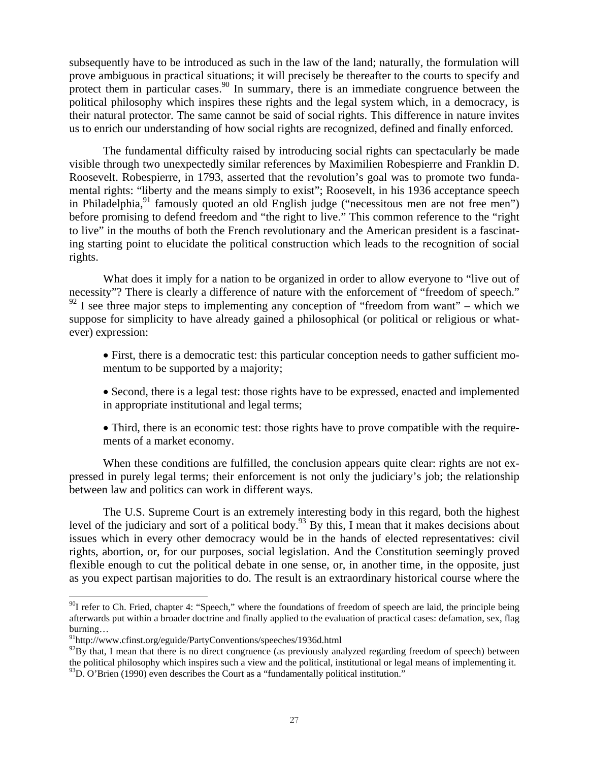subsequently have to be introduced as such in the law of the land; naturally, the formulation will prove ambiguous in practical situations; it will precisely be thereafter to the courts to specify and protect them in particular cases.<sup>90</sup> In summary, there is an immediate congruence between the political philosophy which inspires these rights and the legal system which, in a democracy, is their natural protector. The same cannot be said of social rights. This difference in nature invites us to enrich our understanding of how social rights are recognized, defined and finally enforced.

The fundamental difficulty raised by introducing social rights can spectacularly be made visible through two unexpectedly similar references by Maximilien Robespierre and Franklin D. Roosevelt. Robespierre, in 1793, asserted that the revolution's goal was to promote two fundamental rights: "liberty and the means simply to exist"; Roosevelt, in his 1936 acceptance speech in Philadelphia,<sup>91</sup> famously quoted an old English judge ("necessitous men are not free men") before promising to defend freedom and "the right to live." This common reference to the "right to live" in the mouths of both the French revolutionary and the American president is a fascinating starting point to elucidate the political construction which leads to the recognition of social rights.

What does it imply for a nation to be organized in order to allow everyone to "live out of necessity"? There is clearly a difference of nature with the enforcement of "freedom of speech."  $92$  I see three major steps to implementing any conception of "freedom from want" – which we suppose for simplicity to have already gained a philosophical (or political or religious or whatever) expression:

- First, there is a democratic test: this particular conception needs to gather sufficient momentum to be supported by a majority;
- Second, there is a legal test: those rights have to be expressed, enacted and implemented in appropriate institutional and legal terms;
- Third, there is an economic test: those rights have to prove compatible with the requirements of a market economy.

When these conditions are fulfilled, the conclusion appears quite clear: rights are not expressed in purely legal terms; their enforcement is not only the judiciary's job; the relationship between law and politics can work in different ways.

The U.S. Supreme Court is an extremely interesting body in this regard, both the highest level of the judiciary and sort of a political body.93 By this, I mean that it makes decisions about issues which in every other democracy would be in the hands of elected representatives: civil rights, abortion, or, for our purposes, social legislation. And the Constitution seemingly proved flexible enough to cut the political debate in one sense, or, in another time, in the opposite, just as you expect partisan majorities to do. The result is an extraordinary historical course where the

<u>.</u>

<sup>&</sup>lt;sup>90</sup>I refer to Ch. Fried, chapter 4: "Speech," where the foundations of freedom of speech are laid, the principle being afterwards put within a broader doctrine and finally applied to the evaluation of practical cases: defamation, sex, flag burning…

<sup>91</sup>http://www.cfinst.org/eguide/PartyConventions/speeches/1936d.html

 $92By$  that, I mean that there is no direct congruence (as previously analyzed regarding freedom of speech) between the political philosophy which inspires such a view and the political, institutional or legal means of implementing it. <sup>93</sup>D. O'Brien (1990) even describes the Court as a "fundamentally political institution."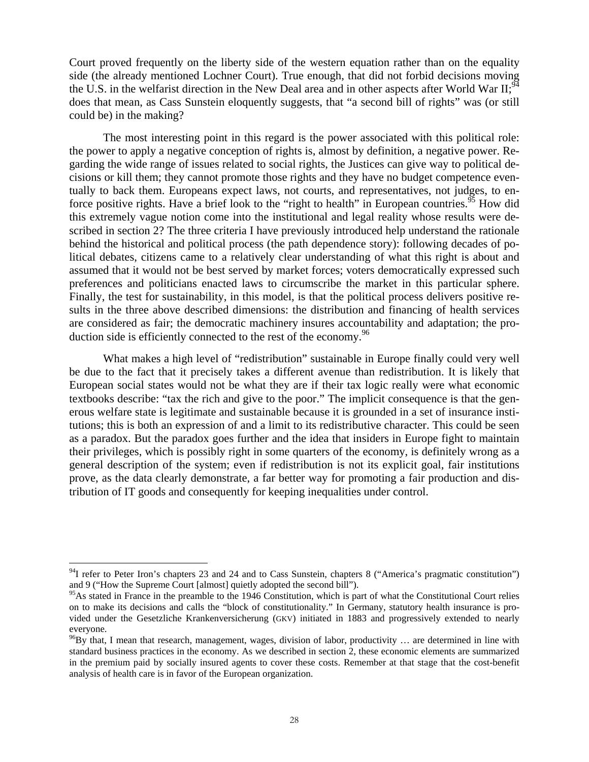Court proved frequently on the liberty side of the western equation rather than on the equality side (the already mentioned Lochner Court). True enough, that did not forbid decisions moving the U.S. in the welfarist direction in the New Deal area and in other aspects after World War  $II$ ;<sup>94</sup> does that mean, as Cass Sunstein eloquently suggests, that "a second bill of rights" was (or still could be) in the making?

The most interesting point in this regard is the power associated with this political role: the power to apply a negative conception of rights is, almost by definition, a negative power. Regarding the wide range of issues related to social rights, the Justices can give way to political decisions or kill them; they cannot promote those rights and they have no budget competence eventually to back them. Europeans expect laws, not courts, and representatives, not judges, to enforce positive rights. Have a brief look to the "right to health" in European countries.<sup>95</sup> How did this extremely vague notion come into the institutional and legal reality whose results were described in section 2? The three criteria I have previously introduced help understand the rationale behind the historical and political process (the path dependence story): following decades of political debates, citizens came to a relatively clear understanding of what this right is about and assumed that it would not be best served by market forces; voters democratically expressed such preferences and politicians enacted laws to circumscribe the market in this particular sphere. Finally, the test for sustainability, in this model, is that the political process delivers positive results in the three above described dimensions: the distribution and financing of health services are considered as fair; the democratic machinery insures accountability and adaptation; the production side is efficiently connected to the rest of the economy.<sup>96</sup>

What makes a high level of "redistribution" sustainable in Europe finally could very well be due to the fact that it precisely takes a different avenue than redistribution. It is likely that European social states would not be what they are if their tax logic really were what economic textbooks describe: "tax the rich and give to the poor." The implicit consequence is that the generous welfare state is legitimate and sustainable because it is grounded in a set of insurance institutions; this is both an expression of and a limit to its redistributive character. This could be seen as a paradox. But the paradox goes further and the idea that insiders in Europe fight to maintain their privileges, which is possibly right in some quarters of the economy, is definitely wrong as a general description of the system; even if redistribution is not its explicit goal, fair institutions prove, as the data clearly demonstrate, a far better way for promoting a fair production and distribution of IT goods and consequently for keeping inequalities under control.

<u>.</u>

 $94$ I refer to Peter Iron's chapters 23 and 24 and to Cass Sunstein, chapters 8 ("America's pragmatic constitution") and 9 ("How the Supreme Court [almost] quietly adopted the second bill").

 $95$ As stated in France in the preamble to the 1946 Constitution, which is part of what the Constitutional Court relies on to make its decisions and calls the "block of constitutionality." In Germany, statutory health insurance is provided under the Gesetzliche Krankenversicherung (GKV) initiated in 1883 and progressively extended to nearly everyone.

 $^{96}$ By that, I mean that research, management, wages, division of labor, productivity ... are determined in line with standard business practices in the economy. As we described in section 2, these economic elements are summarized in the premium paid by socially insured agents to cover these costs. Remember at that stage that the cost-benefit analysis of health care is in favor of the European organization.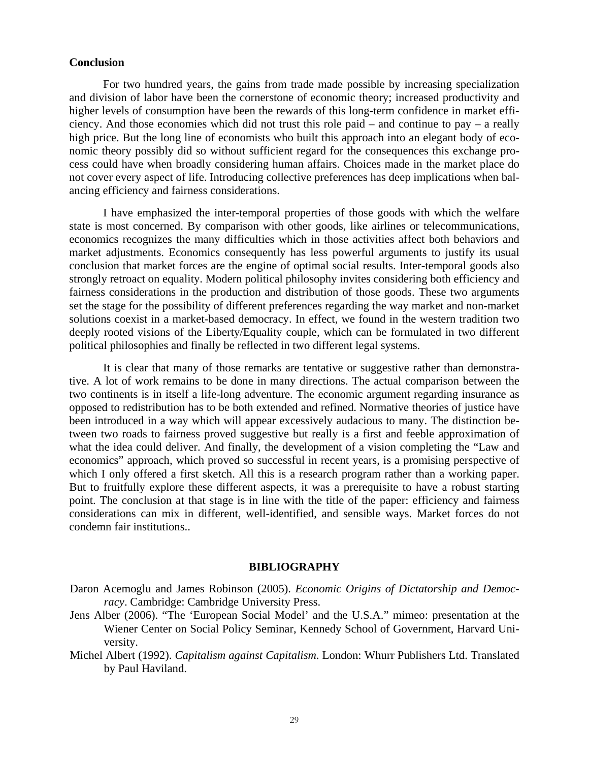#### **Conclusion**

For two hundred years, the gains from trade made possible by increasing specialization and division of labor have been the cornerstone of economic theory; increased productivity and higher levels of consumption have been the rewards of this long-term confidence in market efficiency. And those economies which did not trust this role paid – and continue to pay – a really high price. But the long line of economists who built this approach into an elegant body of economic theory possibly did so without sufficient regard for the consequences this exchange process could have when broadly considering human affairs. Choices made in the market place do not cover every aspect of life. Introducing collective preferences has deep implications when balancing efficiency and fairness considerations.

I have emphasized the inter-temporal properties of those goods with which the welfare state is most concerned. By comparison with other goods, like airlines or telecommunications, economics recognizes the many difficulties which in those activities affect both behaviors and market adjustments. Economics consequently has less powerful arguments to justify its usual conclusion that market forces are the engine of optimal social results. Inter-temporal goods also strongly retroact on equality. Modern political philosophy invites considering both efficiency and fairness considerations in the production and distribution of those goods. These two arguments set the stage for the possibility of different preferences regarding the way market and non-market solutions coexist in a market-based democracy. In effect, we found in the western tradition two deeply rooted visions of the Liberty/Equality couple, which can be formulated in two different political philosophies and finally be reflected in two different legal systems.

It is clear that many of those remarks are tentative or suggestive rather than demonstrative. A lot of work remains to be done in many directions. The actual comparison between the two continents is in itself a life-long adventure. The economic argument regarding insurance as opposed to redistribution has to be both extended and refined. Normative theories of justice have been introduced in a way which will appear excessively audacious to many. The distinction between two roads to fairness proved suggestive but really is a first and feeble approximation of what the idea could deliver. And finally, the development of a vision completing the "Law and economics" approach, which proved so successful in recent years, is a promising perspective of which I only offered a first sketch. All this is a research program rather than a working paper. But to fruitfully explore these different aspects, it was a prerequisite to have a robust starting point. The conclusion at that stage is in line with the title of the paper: efficiency and fairness considerations can mix in different, well-identified, and sensible ways. Market forces do not condemn fair institutions..

#### **BIBLIOGRAPHY**

- Daron Acemoglu and James Robinson (2005). *Economic Origins of Dictatorship and Democracy*. Cambridge: Cambridge University Press.
- Jens Alber (2006). "The 'European Social Model' and the U.S.A." mimeo: presentation at the Wiener Center on Social Policy Seminar, Kennedy School of Government, Harvard University.
- Michel Albert (1992). *Capitalism against Capitalism*. London: Whurr Publishers Ltd. Translated by Paul Haviland.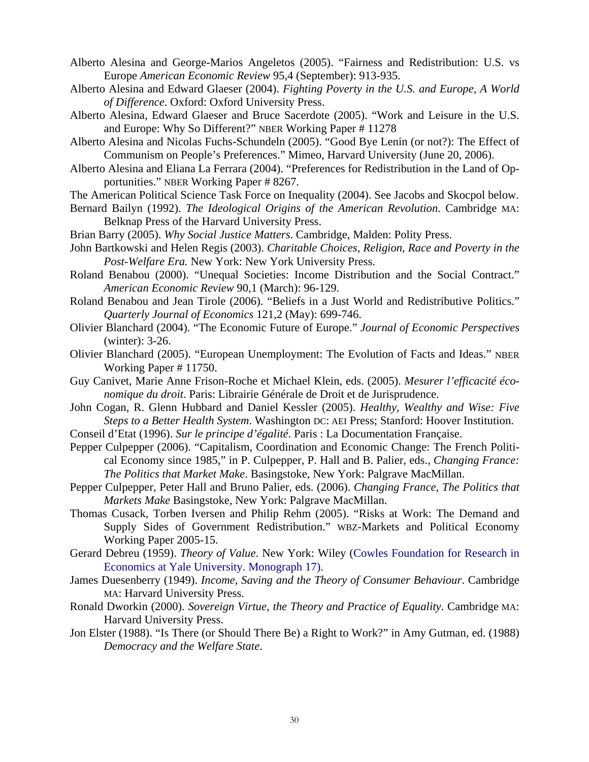- Alberto Alesina and George-Marios Angeletos (2005). "Fairness and Redistribution: U.S. vs Europe *American Economic Review* 95,4 (September): 913-935.
- Alberto Alesina and Edward Glaeser (2004). *Fighting Poverty in the U.S. and Europe, A World of Difference*. Oxford: Oxford University Press.
- Alberto Alesina, Edward Glaeser and Bruce Sacerdote (2005). "Work and Leisure in the U.S. and Europe: Why So Different?" NBER Working Paper # 11278
- Alberto Alesina and Nicolas Fuchs-Schundeln (2005). "Good Bye Lenin (or not?): The Effect of Communism on People's Preferences." Mimeo, Harvard University (June 20, 2006).
- Alberto Alesina and Eliana La Ferrara (2004). "Preferences for Redistribution in the Land of Opportunities." NBER Working Paper # 8267.
- The American Political Science Task Force on Inequality (2004). See Jacobs and Skocpol below.
- Bernard Bailyn (1992). *The Ideological Origins of the American Revolution*. Cambridge MA: Belknap Press of the Harvard University Press.
- Brian Barry (2005). *Why Social Justice Matters*. Cambridge, Malden: Polity Press.
- John Bartkowski and Helen Regis (2003). *Charitable Choices, Religion, Race and Poverty in the Post-Welfare Era.* New York: New York University Press.
- Roland Benabou (2000). "Unequal Societies: Income Distribution and the Social Contract." *American Economic Review* 90,1 (March): 96-129.
- Roland Benabou and Jean Tirole (2006). "Beliefs in a Just World and Redistributive Politics." *Quarterly Journal of Economics* 121,2 (May): 699-746.
- Olivier Blanchard (2004). "The Economic Future of Europe." *Journal of Economic Perspectives* (winter): 3-26.
- Olivier Blanchard (2005). "European Unemployment: The Evolution of Facts and Ideas." NBER Working Paper # 11750.
- Guy Canivet, Marie Anne Frison-Roche et Michael Klein, eds. (2005). *Mesurer l'efficacité économique du droit*. Paris: Librairie Générale de Droit et de Jurisprudence.
- John Cogan, R. Glenn Hubbard and Daniel Kessler (2005). *Healthy, Wealthy and Wise: Five Steps to a Better Health System*. Washington DC: AEI Press; Stanford: Hoover Institution.
- Conseil d'Etat (1996). *Sur le principe d'égalité*. Paris : La Documentation Française.
- Pepper Culpepper (2006). "Capitalism, Coordination and Economic Change: The French Political Economy since 1985," in P. Culpepper, P. Hall and B. Palier, eds., *Changing France: The Politics that Market Make*. Basingstoke, New York: Palgrave MacMillan.
- Pepper Culpepper, Peter Hall and Bruno Palier, eds. (2006). *Changing France, The Politics that Markets Make* Basingstoke, New York: Palgrave MacMillan.
- Thomas Cusack, Torben Iversen and Philip Rehm (2005). "Risks at Work: The Demand and Supply Sides of Government Redistribution." WBZ-Markets and Political Economy Working Paper 2005-15.
- Gerard Debreu (1959). *Theory of Value*. New York: Wiley (Cowles Foundation for Research in Economics at Yale University. Monograph 17).
- James Duesenberry (1949). *Income, Saving and the Theory of Consumer Behaviour*. Cambridge MA: Harvard University Press.
- Ronald Dworkin (2000). *Sovereign Virtue, the Theory and Practice of Equality*. Cambridge MA: Harvard University Press.
- Jon Elster (1988). "Is There (or Should There Be) a Right to Work?" in Amy Gutman, ed. (1988) *Democracy and the Welfare State*.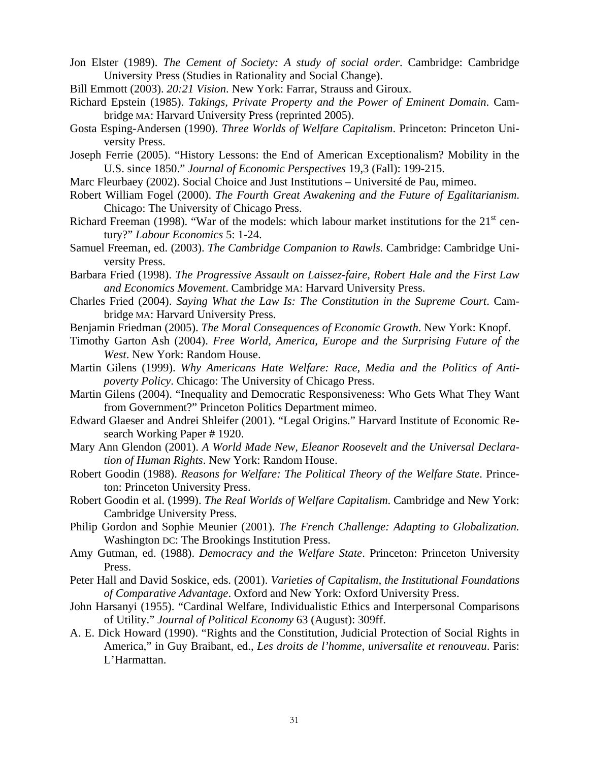- Jon Elster (1989). *The Cement of Society: A study of social order*. Cambridge: Cambridge University Press (Studies in Rationality and Social Change).
- Bill Emmott (2003). *20:21 Vision*. New York: Farrar, Strauss and Giroux.
- Richard Epstein (1985). *Takings, Private Property and the Power of Eminent Domain*. Cambridge MA: Harvard University Press (reprinted 2005).
- Gosta Esping-Andersen (1990). *Three Worlds of Welfare Capitalism*. Princeton: Princeton University Press.
- Joseph Ferrie (2005). "History Lessons: the End of American Exceptionalism? Mobility in the U.S. since 1850." *Journal of Economic Perspectives* 19,3 (Fall): 199-215.
- Marc Fleurbaey (2002). Social Choice and Just Institutions Université de Pau, mimeo.
- Robert William Fogel (2000). *The Fourth Great Awakening and the Future of Egalitarianism*. Chicago: The University of Chicago Press.
- Richard Freeman (1998). "War of the models: which labour market institutions for the  $21<sup>st</sup>$  century?" *Labour Economics* 5: 1-24.
- Samuel Freeman, ed. (2003). *The Cambridge Companion to Rawls.* Cambridge: Cambridge University Press.
- Barbara Fried (1998). *The Progressive Assault on Laissez-faire, Robert Hale and the First Law and Economics Movement*. Cambridge MA: Harvard University Press.
- Charles Fried (2004). *Saying What the Law Is: The Constitution in the Supreme Court*. Cambridge MA: Harvard University Press.
- Benjamin Friedman (2005). *The Moral Consequences of Economic Growth*. New York: Knopf.
- Timothy Garton Ash (2004). *Free World, America, Europe and the Surprising Future of the West*. New York: Random House.
- Martin Gilens (1999). *Why Americans Hate Welfare: Race, Media and the Politics of Antipoverty Policy*. Chicago: The University of Chicago Press.
- Martin Gilens (2004). "Inequality and Democratic Responsiveness: Who Gets What They Want from Government?" Princeton Politics Department mimeo.
- Edward Glaeser and Andrei Shleifer (2001). "Legal Origins." Harvard Institute of Economic Research Working Paper # 1920.
- Mary Ann Glendon (2001). *A World Made New, Eleanor Roosevelt and the Universal Declaration of Human Rights*. New York: Random House.
- Robert Goodin (1988). *Reasons for Welfare: The Political Theory of the Welfare State*. Princeton: Princeton University Press.
- Robert Goodin et al. (1999). *The Real Worlds of Welfare Capitalism*. Cambridge and New York: Cambridge University Press.
- Philip Gordon and Sophie Meunier (2001). *The French Challenge: Adapting to Globalization.* Washington DC: The Brookings Institution Press.
- Amy Gutman, ed. (1988). *Democracy and the Welfare State*. Princeton: Princeton University Press.
- Peter Hall and David Soskice, eds. (2001). *Varieties of Capitalism, the Institutional Foundations of Comparative Advantage*. Oxford and New York: Oxford University Press.
- John Harsanyi (1955). "Cardinal Welfare, Individualistic Ethics and Interpersonal Comparisons of Utility." *Journal of Political Economy* 63 (August): 309ff.
- A. E. Dick Howard (1990). "Rights and the Constitution, Judicial Protection of Social Rights in America," in Guy Braibant, ed., *Les droits de l'homme, universalite et renouveau*. Paris: L'Harmattan.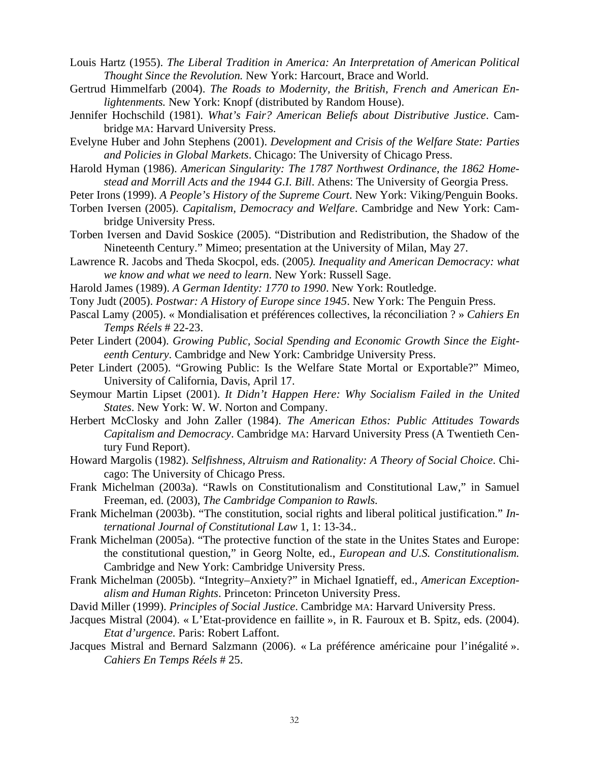- Louis Hartz (1955). *The Liberal Tradition in America: An Interpretation of American Political Thought Since the Revolution.* New York: Harcourt, Brace and World.
- Gertrud Himmelfarb (2004). *The Roads to Modernity, the British, French and American Enlightenments.* New York: Knopf (distributed by Random House).
- Jennifer Hochschild (1981). *What's Fair? American Beliefs about Distributive Justice*. Cambridge MA: Harvard University Press.
- Evelyne Huber and John Stephens (2001). *Development and Crisis of the Welfare State: Parties and Policies in Global Markets*. Chicago: The University of Chicago Press.
- Harold Hyman (1986). *American Singularity: The 1787 Northwest Ordinance, the 1862 Homestead and Morrill Acts and the 1944 G.I. Bill*. Athens: The University of Georgia Press.
- Peter Irons (1999). *A People's History of the Supreme Court*. New York: Viking/Penguin Books.
- Torben Iversen (2005). *Capitalism, Democracy and Welfare*. Cambridge and New York: Cambridge University Press.
- Torben Iversen and David Soskice (2005). "Distribution and Redistribution, the Shadow of the Nineteenth Century." Mimeo; presentation at the University of Milan, May 27.
- Lawrence R. Jacobs and Theda Skocpol, eds. (2005*). Inequality and American Democracy: what we know and what we need to learn*. New York: Russell Sage.
- Harold James (1989). *A German Identity: 1770 to 1990*. New York: Routledge.
- Tony Judt (2005). *Postwar: A History of Europe since 1945*. New York: The Penguin Press.
- Pascal Lamy (2005). « Mondialisation et préférences collectives, la réconciliation ? » *Cahiers En Temps Réels* # 22-23.
- Peter Lindert (2004). *Growing Public, Social Spending and Economic Growth Since the Eighteenth Century*. Cambridge and New York: Cambridge University Press.
- Peter Lindert (2005). "Growing Public: Is the Welfare State Mortal or Exportable?" Mimeo, University of California, Davis, April 17.
- Seymour Martin Lipset (2001). *It Didn't Happen Here: Why Socialism Failed in the United States*. New York: W. W. Norton and Company.
- Herbert McClosky and John Zaller (1984). *The American Ethos: Public Attitudes Towards Capitalism and Democracy*. Cambridge MA: Harvard University Press (A Twentieth Century Fund Report).
- Howard Margolis (1982). *Selfishness, Altruism and Rationality: A Theory of Social Choice*. Chicago: The University of Chicago Press.
- Frank Michelman (2003a). "Rawls on Constitutionalism and Constitutional Law," in Samuel Freeman, ed. (2003), *The Cambridge Companion to Rawls.*
- Frank Michelman (2003b). "The constitution, social rights and liberal political justification." *International Journal of Constitutional Law* 1, 1: 13-34..
- Frank Michelman (2005a). "The protective function of the state in the Unites States and Europe: the constitutional question," in Georg Nolte, ed., *European and U.S. Constitutionalism.* Cambridge and New York: Cambridge University Press.
- Frank Michelman (2005b). "Integrity–Anxiety?" in Michael Ignatieff, ed., *American Exceptionalism and Human Rights*. Princeton: Princeton University Press.
- David Miller (1999). *Principles of Social Justice*. Cambridge MA: Harvard University Press.
- Jacques Mistral (2004). « L'Etat-providence en faillite », in R. Fauroux et B. Spitz, eds. (2004). *Etat d'urgence.* Paris: Robert Laffont.
- Jacques Mistral and Bernard Salzmann (2006). « La préférence américaine pour l'inégalité ». *Cahiers En Temps Réels* # 25.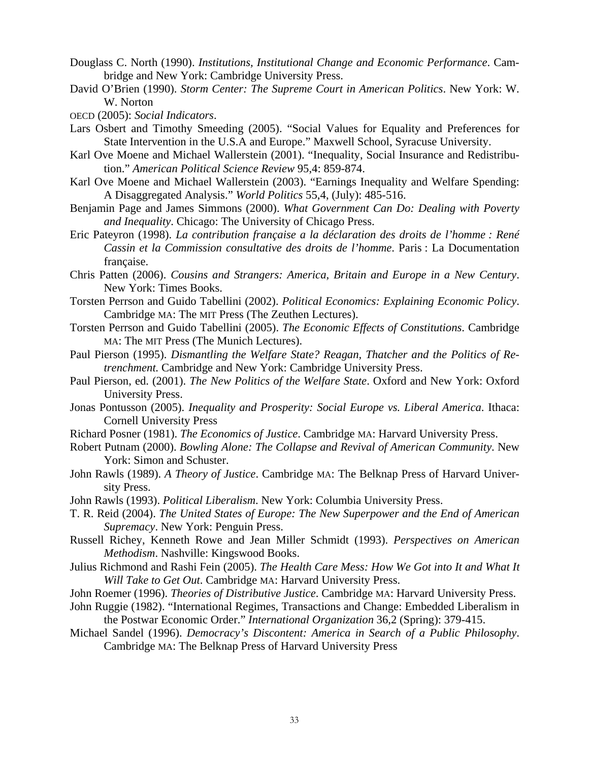Douglass C. North (1990). *Institutions, Institutional Change and Economic Performance*. Cambridge and New York: Cambridge University Press.

- David O'Brien (1990). *Storm Center: The Supreme Court in American Politics*. New York: W. W. Norton
- OECD (2005): *Social Indicators*.
- Lars Osbert and Timothy Smeeding (2005). "Social Values for Equality and Preferences for State Intervention in the U.S.A and Europe." Maxwell School, Syracuse University.
- Karl Ove Moene and Michael Wallerstein (2001). "Inequality, Social Insurance and Redistribution." *American Political Science Review* 95,4: 859-874.
- Karl Ove Moene and Michael Wallerstein (2003). "Earnings Inequality and Welfare Spending: A Disaggregated Analysis." *World Politics* 55,4, (July): 485-516.
- Benjamin Page and James Simmons (2000). *What Government Can Do: Dealing with Poverty and Inequality*. Chicago: The University of Chicago Press.
- Eric Pateyron (1998). *La contribution française a la déclaration des droits de l'homme : René Cassin et la Commission consultative des droits de l'homme*. Paris : La Documentation française.
- Chris Patten (2006). *Cousins and Strangers: America, Britain and Europe in a New Century*. New York: Times Books.
- Torsten Perrson and Guido Tabellini (2002). *Political Economics: Explaining Economic Policy*. Cambridge MA: The MIT Press (The Zeuthen Lectures).
- Torsten Perrson and Guido Tabellini (2005). *The Economic Effects of Constitutions*. Cambridge MA: The MIT Press (The Munich Lectures).
- Paul Pierson (1995). *Dismantling the Welfare State? Reagan, Thatcher and the Politics of Retrenchment.* Cambridge and New York: Cambridge University Press.
- Paul Pierson, ed. (2001). *The New Politics of the Welfare State*. Oxford and New York: Oxford University Press.
- Jonas Pontusson (2005). *Inequality and Prosperity: Social Europe vs. Liberal America*. Ithaca: Cornell University Press
- Richard Posner (1981). *The Economics of Justice*. Cambridge MA: Harvard University Press.
- Robert Putnam (2000). *Bowling Alone: The Collapse and Revival of American Community*. New York: Simon and Schuster.
- John Rawls (1989). *A Theory of Justice*. Cambridge MA: The Belknap Press of Harvard University Press.
- John Rawls (1993). *Political Liberalism*. New York: Columbia University Press.
- T. R. Reid (2004). *The United States of Europe: The New Superpower and the End of American Supremacy*. New York: Penguin Press.
- Russell Richey, Kenneth Rowe and Jean Miller Schmidt (1993). *Perspectives on American Methodism*. Nashville: Kingswood Books.
- Julius Richmond and Rashi Fein (2005). *The Health Care Mess: How We Got into It and What It Will Take to Get Out*. Cambridge MA: Harvard University Press.
- John Roemer (1996). *Theories of Distributive Justice*. Cambridge MA: Harvard University Press.
- John Ruggie (1982). "International Regimes, Transactions and Change: Embedded Liberalism in the Postwar Economic Order." *International Organization* 36,2 (Spring): 379-415.
- Michael Sandel (1996). *Democracy's Discontent: America in Search of a Public Philosophy*. Cambridge MA: The Belknap Press of Harvard University Press